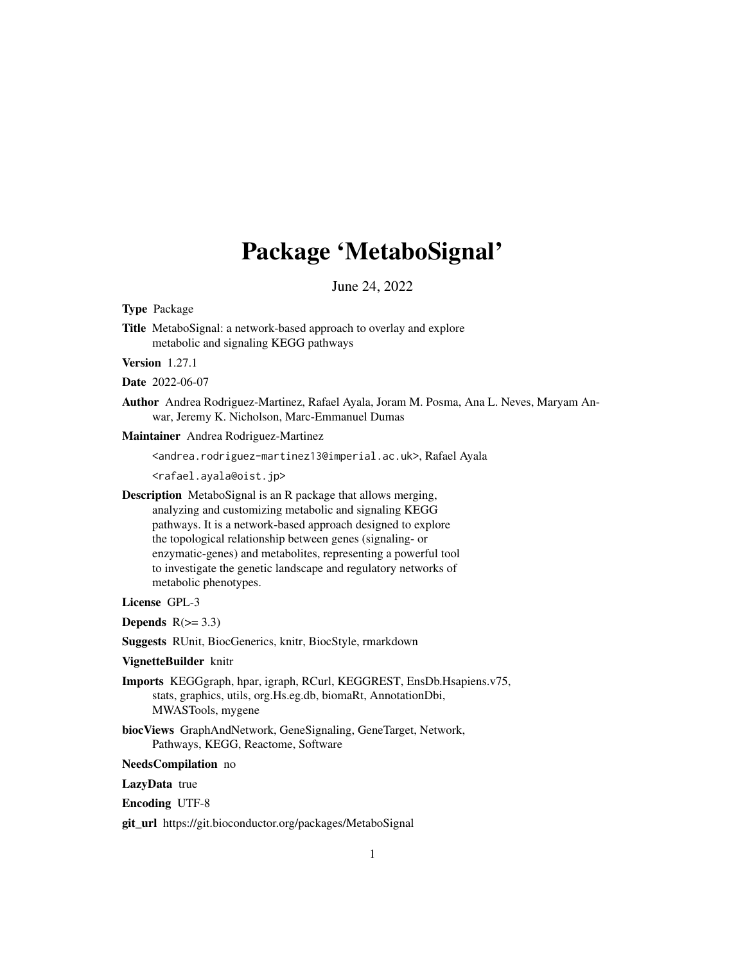# Package 'MetaboSignal'

June 24, 2022

Type Package

Title MetaboSignal: a network-based approach to overlay and explore metabolic and signaling KEGG pathways

Version 1.27.1

Date 2022-06-07

Author Andrea Rodriguez-Martinez, Rafael Ayala, Joram M. Posma, Ana L. Neves, Maryam Anwar, Jeremy K. Nicholson, Marc-Emmanuel Dumas

Maintainer Andrea Rodriguez-Martinez

<andrea.rodriguez-martinez13@imperial.ac.uk>, Rafael Ayala

<rafael.ayala@oist.jp>

Description MetaboSignal is an R package that allows merging, analyzing and customizing metabolic and signaling KEGG pathways. It is a network-based approach designed to explore the topological relationship between genes (signaling- or enzymatic-genes) and metabolites, representing a powerful tool to investigate the genetic landscape and regulatory networks of metabolic phenotypes.

License GPL-3

Depends  $R(>= 3.3)$ 

Suggests RUnit, BiocGenerics, knitr, BiocStyle, rmarkdown

#### VignetteBuilder knitr

Imports KEGGgraph, hpar, igraph, RCurl, KEGGREST, EnsDb.Hsapiens.v75, stats, graphics, utils, org.Hs.eg.db, biomaRt, AnnotationDbi, MWASTools, mygene

biocViews GraphAndNetwork, GeneSignaling, GeneTarget, Network, Pathways, KEGG, Reactome, Software

NeedsCompilation no

LazyData true

Encoding UTF-8

git\_url https://git.bioconductor.org/packages/MetaboSignal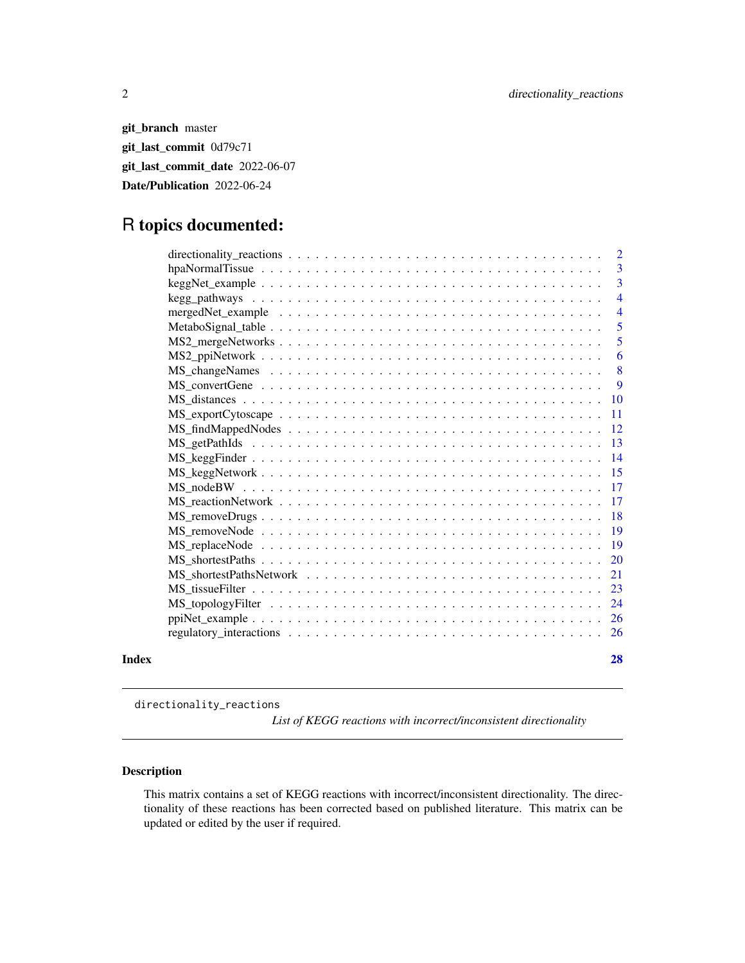<span id="page-1-0"></span>git\_branch master git\_last\_commit 0d79c71 git\_last\_commit\_date 2022-06-07 Date/Publication 2022-06-24

# R topics documented:

|       |                                                                                                                     | 3                         |
|-------|---------------------------------------------------------------------------------------------------------------------|---------------------------|
|       |                                                                                                                     | $\overline{4}$            |
|       | mergedNet_example $\dots \dots \dots \dots \dots \dots \dots \dots \dots \dots \dots \dots \dots \dots \dots \dots$ | $\overline{4}$            |
|       |                                                                                                                     | $\overline{5}$            |
|       |                                                                                                                     | 5                         |
|       |                                                                                                                     | 6                         |
|       |                                                                                                                     | $\overline{\phantom{0}}8$ |
|       |                                                                                                                     | -9                        |
|       |                                                                                                                     |                           |
|       | $MS\_exportCytoscape \dots \dots \dots \dots \dots \dots \dots \dots \dots \dots \dots \dots \dots \dots$           | $\overline{11}$           |
|       |                                                                                                                     |                           |
|       |                                                                                                                     |                           |
|       |                                                                                                                     |                           |
|       |                                                                                                                     |                           |
|       |                                                                                                                     |                           |
|       |                                                                                                                     |                           |
|       |                                                                                                                     |                           |
|       |                                                                                                                     |                           |
|       |                                                                                                                     |                           |
|       |                                                                                                                     |                           |
|       |                                                                                                                     |                           |
|       |                                                                                                                     |                           |
|       |                                                                                                                     |                           |
|       |                                                                                                                     |                           |
|       |                                                                                                                     |                           |
| Index |                                                                                                                     | 28                        |

directionality\_reactions

*List of KEGG reactions with incorrect/inconsistent directionality*

# Description

This matrix contains a set of KEGG reactions with incorrect/inconsistent directionality. The directionality of these reactions has been corrected based on published literature. This matrix can be updated or edited by the user if required.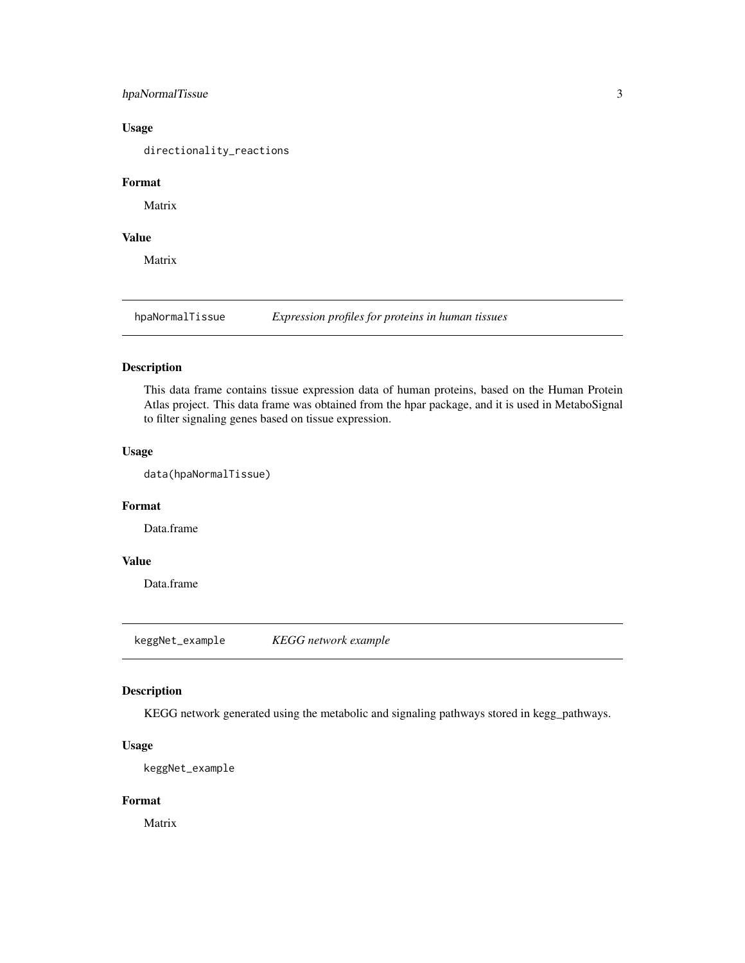# <span id="page-2-0"></span>hpaNormalTissue 3

# Usage

directionality\_reactions

# Format

Matrix

# Value

Matrix

hpaNormalTissue *Expression profiles for proteins in human tissues*

# Description

This data frame contains tissue expression data of human proteins, based on the Human Protein Atlas project. This data frame was obtained from the hpar package, and it is used in MetaboSignal to filter signaling genes based on tissue expression.

# Usage

data(hpaNormalTissue)

# Format

Data.frame

# Value

Data.frame

keggNet\_example *KEGG network example*

# Description

KEGG network generated using the metabolic and signaling pathways stored in kegg\_pathways.

# Usage

keggNet\_example

# Format

Matrix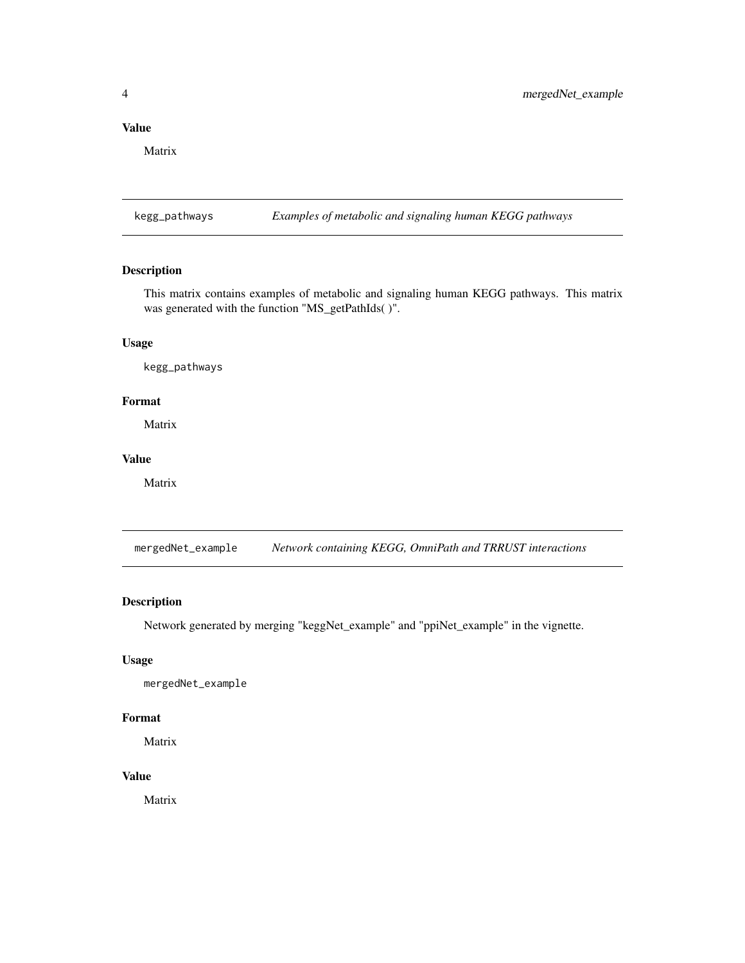# <span id="page-3-0"></span>Value

Matrix

kegg\_pathways *Examples of metabolic and signaling human KEGG pathways*

# Description

This matrix contains examples of metabolic and signaling human KEGG pathways. This matrix was generated with the function "MS\_getPathIds( )".

# Usage

kegg\_pathways

# Format

Matrix

# Value

Matrix

mergedNet\_example *Network containing KEGG, OmniPath and TRRUST interactions*

# Description

Network generated by merging "keggNet\_example" and "ppiNet\_example" in the vignette.

# Usage

mergedNet\_example

# Format

Matrix

# Value

Matrix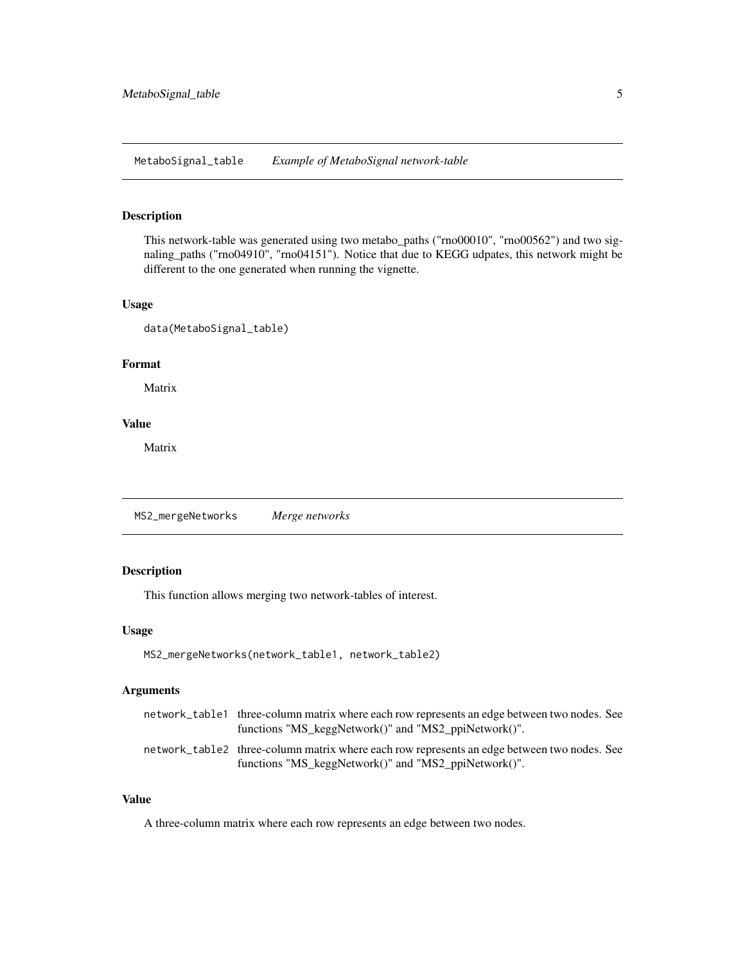<span id="page-4-0"></span>MetaboSignal\_table *Example of MetaboSignal network-table*

# Description

This network-table was generated using two metabo\_paths ("rno00010", "rno00562") and two signaling\_paths ("rno04910", "rno04151"). Notice that due to KEGG udpates, this network might be different to the one generated when running the vignette.

#### Usage

data(MetaboSignal\_table)

# Format

Matrix

# Value

Matrix

MS2\_mergeNetworks *Merge networks*

# Description

This function allows merging two network-tables of interest.

#### Usage

```
MS2_mergeNetworks(network_table1, network_table2)
```
# Arguments

| network_table1 three-column matrix where each row represents an edge between two nodes. See<br>functions "MS keggNetwork()" and "MS2 ppiNetwork()". |
|-----------------------------------------------------------------------------------------------------------------------------------------------------|
| network_table2 three-column matrix where each row represents an edge between two nodes. See<br>functions "MS_keggNetwork()" and "MS2_ppiNetwork()". |

#### Value

A three-column matrix where each row represents an edge between two nodes.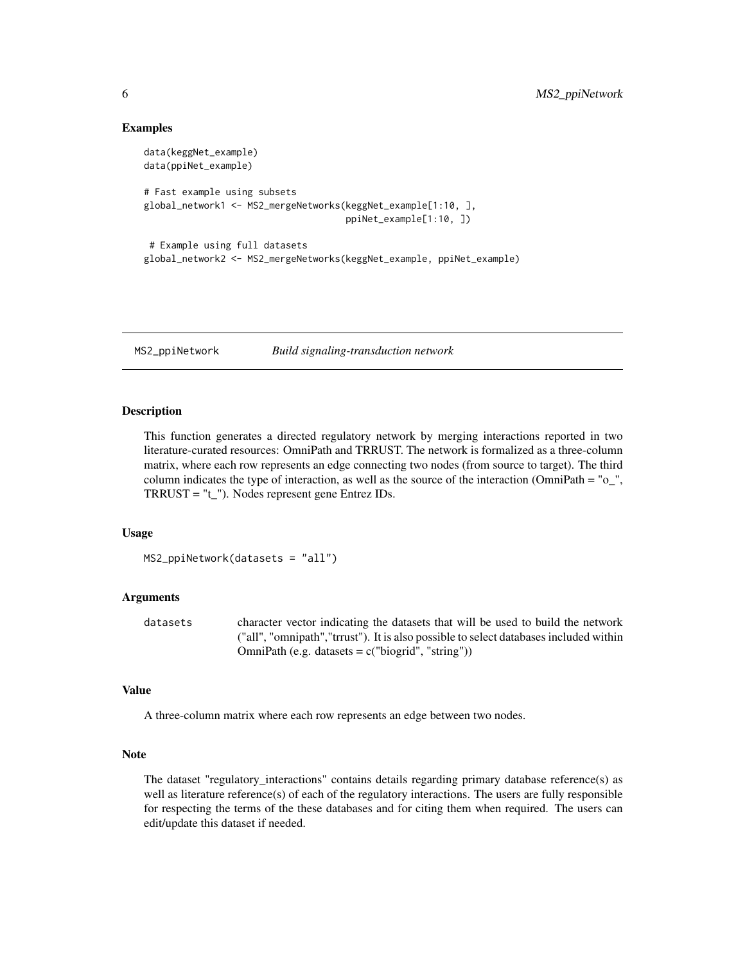#### Examples

```
data(keggNet_example)
data(ppiNet_example)
# Fast example using subsets
global_network1 <- MS2_mergeNetworks(keggNet_example[1:10, ],
                                     ppiNet_example[1:10, ])
# Example using full datasets
global_network2 <- MS2_mergeNetworks(keggNet_example, ppiNet_example)
```
MS2\_ppiNetwork *Build signaling-transduction network*

#### Description

This function generates a directed regulatory network by merging interactions reported in two literature-curated resources: OmniPath and TRRUST. The network is formalized as a three-column matrix, where each row represents an edge connecting two nodes (from source to target). The third column indicates the type of interaction, as well as the source of the interaction (OmniPath = "o\_", TRRUST = "t\_"). Nodes represent gene Entrez IDs.

#### Usage

```
MS2_ppiNetwork(datasets = "all")
```
## Arguments

datasets character vector indicating the datasets that will be used to build the network ("all", "omnipath","trrust"). It is also possible to select databases included within OmniPath (e.g. datasets  $= c("biogrid", "string")$ )

# Value

A three-column matrix where each row represents an edge between two nodes.

# Note

The dataset "regulatory\_interactions" contains details regarding primary database reference(s) as well as literature reference(s) of each of the regulatory interactions. The users are fully responsible for respecting the terms of the these databases and for citing them when required. The users can edit/update this dataset if needed.

<span id="page-5-0"></span>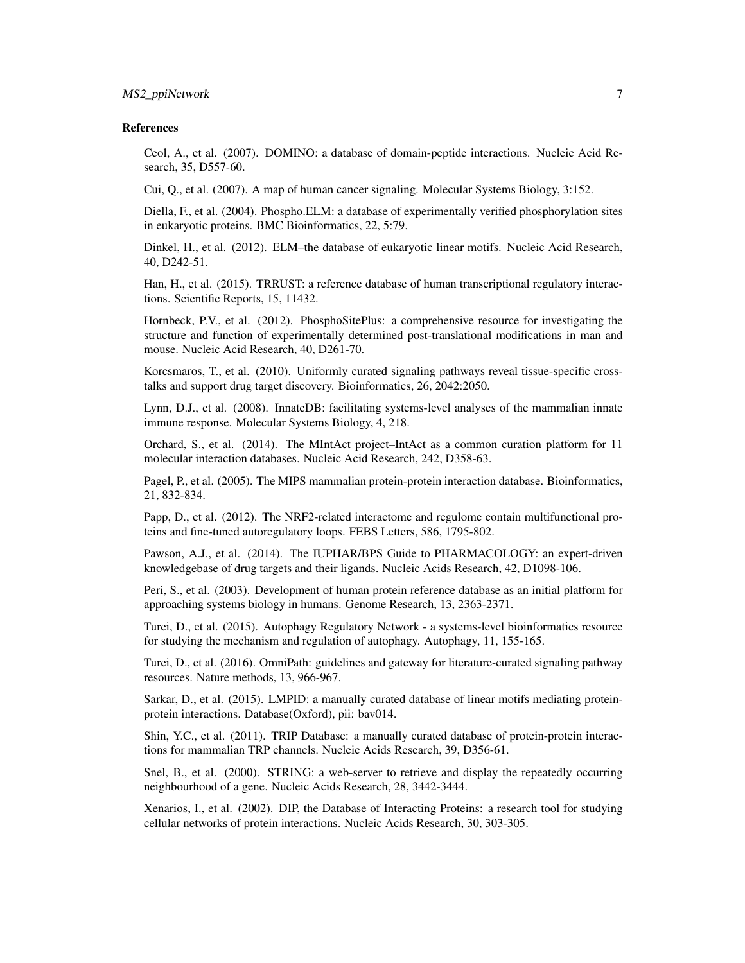# MS2\_ppiNetwork 7

#### References

Ceol, A., et al. (2007). DOMINO: a database of domain-peptide interactions. Nucleic Acid Research, 35, D557-60.

Cui, Q., et al. (2007). A map of human cancer signaling. Molecular Systems Biology, 3:152.

Diella, F., et al. (2004). Phospho.ELM: a database of experimentally verified phosphorylation sites in eukaryotic proteins. BMC Bioinformatics, 22, 5:79.

Dinkel, H., et al. (2012). ELM–the database of eukaryotic linear motifs. Nucleic Acid Research, 40, D242-51.

Han, H., et al. (2015). TRRUST: a reference database of human transcriptional regulatory interactions. Scientific Reports, 15, 11432.

Hornbeck, P.V., et al. (2012). PhosphoSitePlus: a comprehensive resource for investigating the structure and function of experimentally determined post-translational modifications in man and mouse. Nucleic Acid Research, 40, D261-70.

Korcsmaros, T., et al. (2010). Uniformly curated signaling pathways reveal tissue-specific crosstalks and support drug target discovery. Bioinformatics, 26, 2042:2050.

Lynn, D.J., et al. (2008). InnateDB: facilitating systems-level analyses of the mammalian innate immune response. Molecular Systems Biology, 4, 218.

Orchard, S., et al. (2014). The MIntAct project–IntAct as a common curation platform for 11 molecular interaction databases. Nucleic Acid Research, 242, D358-63.

Pagel, P., et al. (2005). The MIPS mammalian protein-protein interaction database. Bioinformatics, 21, 832-834.

Papp, D., et al. (2012). The NRF2-related interactome and regulome contain multifunctional proteins and fine-tuned autoregulatory loops. FEBS Letters, 586, 1795-802.

Pawson, A.J., et al. (2014). The IUPHAR/BPS Guide to PHARMACOLOGY: an expert-driven knowledgebase of drug targets and their ligands. Nucleic Acids Research, 42, D1098-106.

Peri, S., et al. (2003). Development of human protein reference database as an initial platform for approaching systems biology in humans. Genome Research, 13, 2363-2371.

Turei, D., et al. (2015). Autophagy Regulatory Network - a systems-level bioinformatics resource for studying the mechanism and regulation of autophagy. Autophagy, 11, 155-165.

Turei, D., et al. (2016). OmniPath: guidelines and gateway for literature-curated signaling pathway resources. Nature methods, 13, 966-967.

Sarkar, D., et al. (2015). LMPID: a manually curated database of linear motifs mediating proteinprotein interactions. Database(Oxford), pii: bav014.

Shin, Y.C., et al. (2011). TRIP Database: a manually curated database of protein-protein interactions for mammalian TRP channels. Nucleic Acids Research, 39, D356-61.

Snel, B., et al. (2000). STRING: a web-server to retrieve and display the repeatedly occurring neighbourhood of a gene. Nucleic Acids Research, 28, 3442-3444.

Xenarios, I., et al. (2002). DIP, the Database of Interacting Proteins: a research tool for studying cellular networks of protein interactions. Nucleic Acids Research, 30, 303-305.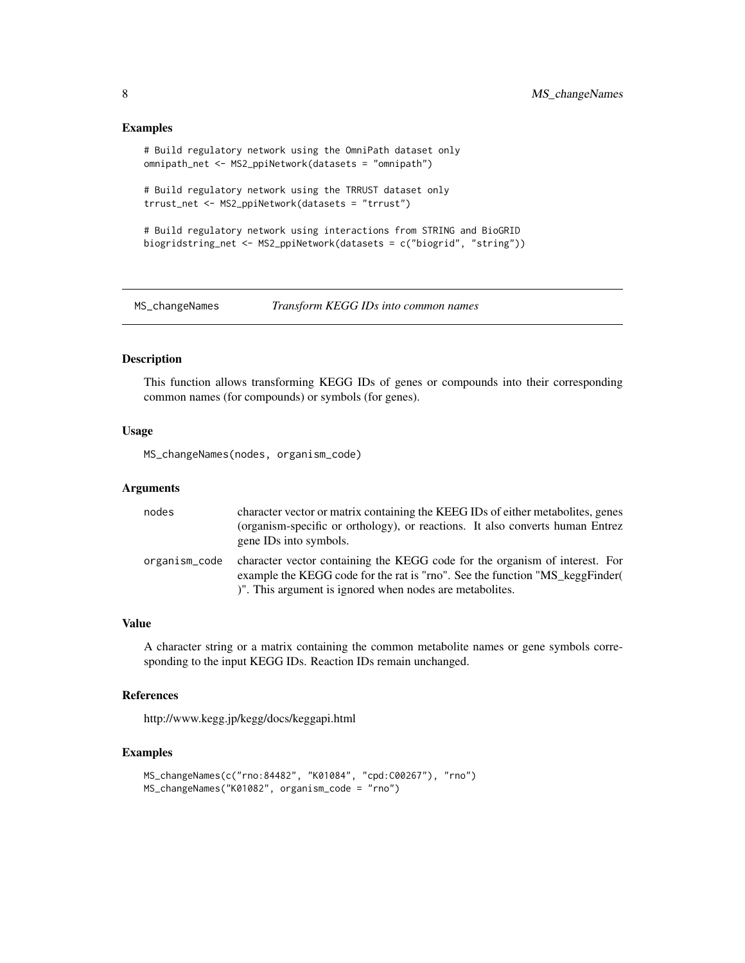#### Examples

```
# Build regulatory network using the OmniPath dataset only
omnipath_net <- MS2_ppiNetwork(datasets = "omnipath")
# Build regulatory network using the TRRUST dataset only
trrust_net <- MS2_ppiNetwork(datasets = "trrust")
# Build regulatory network using interactions from STRING and BioGRID
biogridstring_net <- MS2_ppiNetwork(datasets = c("biogrid", "string"))
```
MS\_changeNames *Transform KEGG IDs into common names*

#### Description

This function allows transforming KEGG IDs of genes or compounds into their corresponding common names (for compounds) or symbols (for genes).

#### Usage

MS\_changeNames(nodes, organism\_code)

# Arguments

| nodes         | character vector or matrix containing the KEEG IDs of either metabolities, genes<br>(organism-specific or orthology), or reactions. It also converts human Entrez<br>gene IDs into symbols.                             |
|---------------|-------------------------------------------------------------------------------------------------------------------------------------------------------------------------------------------------------------------------|
| organism code | character vector containing the KEGG code for the organism of interest. For<br>example the KEGG code for the rat is "rno". See the function "MS_keggFinder(<br>)". This argument is ignored when nodes are metabolites. |

#### Value

A character string or a matrix containing the common metabolite names or gene symbols corresponding to the input KEGG IDs. Reaction IDs remain unchanged.

# References

http://www.kegg.jp/kegg/docs/keggapi.html

#### Examples

```
MS_changeNames(c("rno:84482", "K01084", "cpd:C00267"), "rno")
MS_changeNames("K01082", organism_code = "rno")
```
<span id="page-7-0"></span>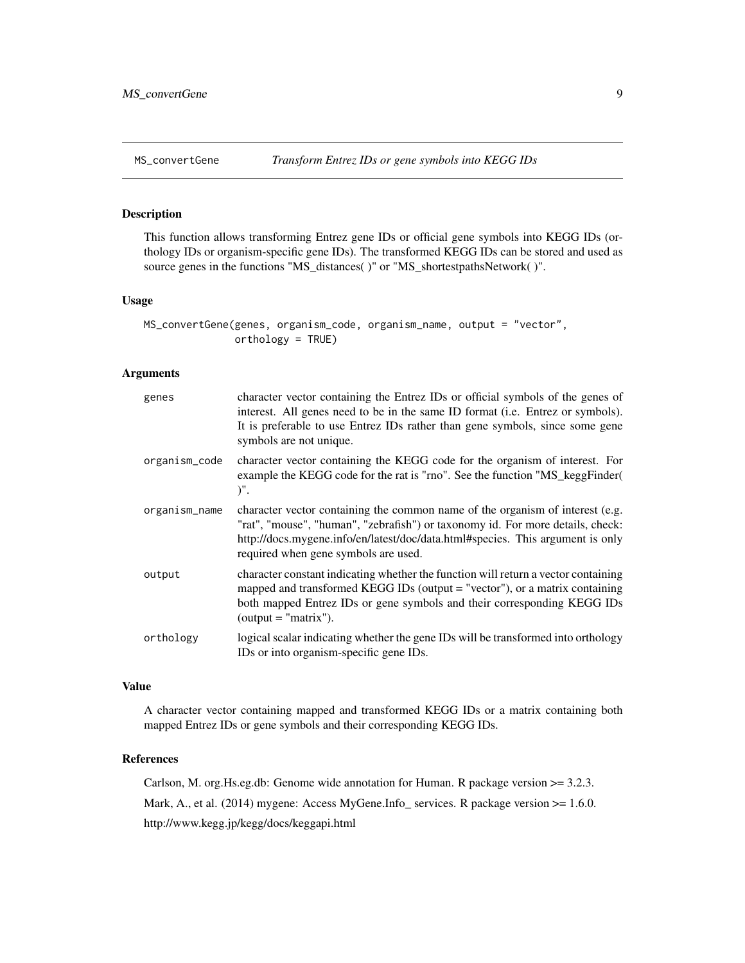<span id="page-8-0"></span>

# Description

This function allows transforming Entrez gene IDs or official gene symbols into KEGG IDs (orthology IDs or organism-specific gene IDs). The transformed KEGG IDs can be stored and used as source genes in the functions "MS\_distances( )" or "MS\_shortestpathsNetwork( )".

# Usage

```
MS_convertGene(genes, organism_code, organism_name, output = "vector",
               orthology = TRUE)
```
# Arguments

| genes         | character vector containing the Entrez IDs or official symbols of the genes of<br>interest. All genes need to be in the same ID format (i.e. Entrez or symbols).<br>It is preferable to use Entrez IDs rather than gene symbols, since some gene<br>symbols are not unique.               |
|---------------|-------------------------------------------------------------------------------------------------------------------------------------------------------------------------------------------------------------------------------------------------------------------------------------------|
| organism_code | character vector containing the KEGG code for the organism of interest. For<br>example the KEGG code for the rat is "rno". See the function "MS_keggFinder(<br>$)^"$ .                                                                                                                    |
| organism_name | character vector containing the common name of the organism of interest (e.g.<br>"rat", "mouse", "human", "zebrafish") or taxonomy id. For more details, check:<br>http://docs.mygene.info/en/latest/doc/data.html#species. This argument is only<br>required when gene symbols are used. |
| output        | character constant indicating whether the function will return a vector containing<br>mapped and transformed KEGG IDs (output = "vector"), or a matrix containing<br>both mapped Entrez IDs or gene symbols and their corresponding KEGG IDs<br>(output $=$ "matrix").                    |
| orthology     | logical scalar indicating whether the gene IDs will be transformed into orthology<br>IDs or into organism-specific gene IDs.                                                                                                                                                              |

## Value

A character vector containing mapped and transformed KEGG IDs or a matrix containing both mapped Entrez IDs or gene symbols and their corresponding KEGG IDs.

#### References

Carlson, M. org.Hs.eg.db: Genome wide annotation for Human. R package version >= 3.2.3. Mark, A., et al. (2014) mygene: Access MyGene.Info\_ services. R package version >= 1.6.0. http://www.kegg.jp/kegg/docs/keggapi.html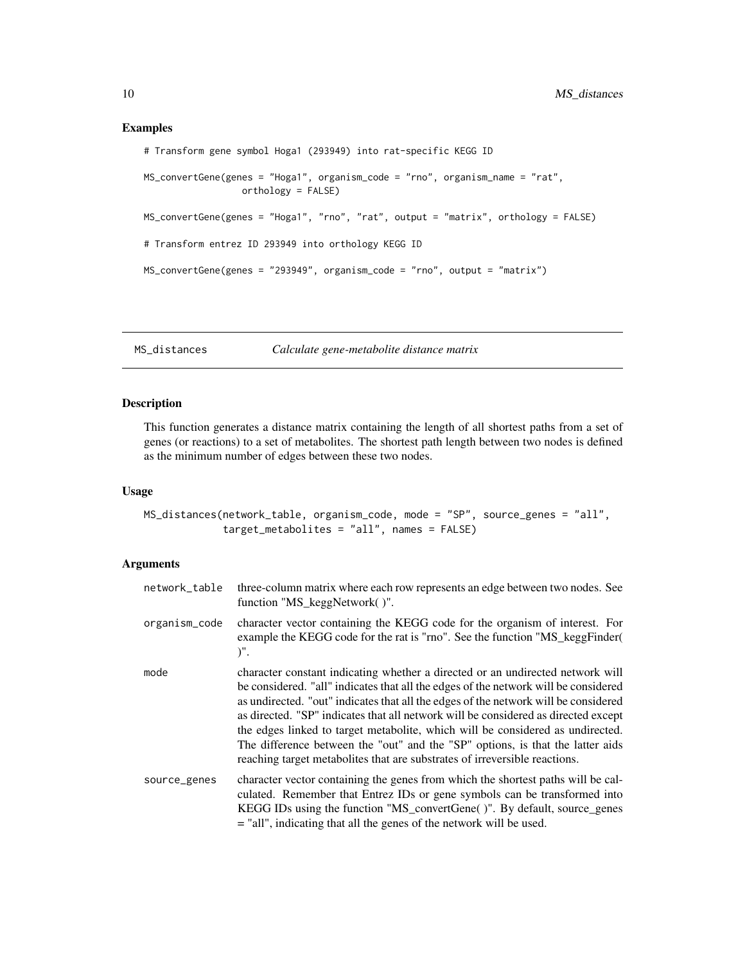#### <span id="page-9-0"></span>Examples

```
# Transform gene symbol Hoga1 (293949) into rat-specific KEGG ID
MS_convertGene(genes = "Hoga1", organism_code = "rno", organism_name = "rat",
                  orthology = FALSE)
MS_convertGene(genes = "Hoga1", "rno", "rat", output = "matrix", orthology = FALSE)
# Transform entrez ID 293949 into orthology KEGG ID
MS_convertGene(genes = "293949", organism_code = "rno", output = "matrix")
```
MS\_distances *Calculate gene-metabolite distance matrix*

# Description

This function generates a distance matrix containing the length of all shortest paths from a set of genes (or reactions) to a set of metabolites. The shortest path length between two nodes is defined as the minimum number of edges between these two nodes.

#### Usage

```
MS_distances(network_table, organism_code, mode = "SP", source_genes = "all",
             target_metabolites = "all", names = FALSE)
```
#### Arguments

| network_table | three-column matrix where each row represents an edge between two nodes. See<br>function "MS_keggNetwork()".                                                                                                                                                                                                                                                                                                                                                                                                                                                                                          |
|---------------|-------------------------------------------------------------------------------------------------------------------------------------------------------------------------------------------------------------------------------------------------------------------------------------------------------------------------------------------------------------------------------------------------------------------------------------------------------------------------------------------------------------------------------------------------------------------------------------------------------|
| organism_code | character vector containing the KEGG code for the organism of interest. For<br>example the KEGG code for the rat is "rno". See the function "MS_keggFinder(<br>$)^{\prime\prime}$ .                                                                                                                                                                                                                                                                                                                                                                                                                   |
| mode          | character constant indicating whether a directed or an undirected network will<br>be considered. "all" indicates that all the edges of the network will be considered<br>as undirected. "out" indicates that all the edges of the network will be considered<br>as directed. "SP" indicates that all network will be considered as directed except<br>the edges linked to target metabolite, which will be considered as undirected.<br>The difference between the "out" and the "SP" options, is that the latter aids<br>reaching target metabolities that are substrates of irreversible reactions. |
| source_genes  | character vector containing the genes from which the shortest paths will be cal-<br>culated. Remember that Entrez IDs or gene symbols can be transformed into<br>KEGG IDs using the function "MS_convertGene()". By default, source_genes<br>= "all", indicating that all the genes of the network will be used.                                                                                                                                                                                                                                                                                      |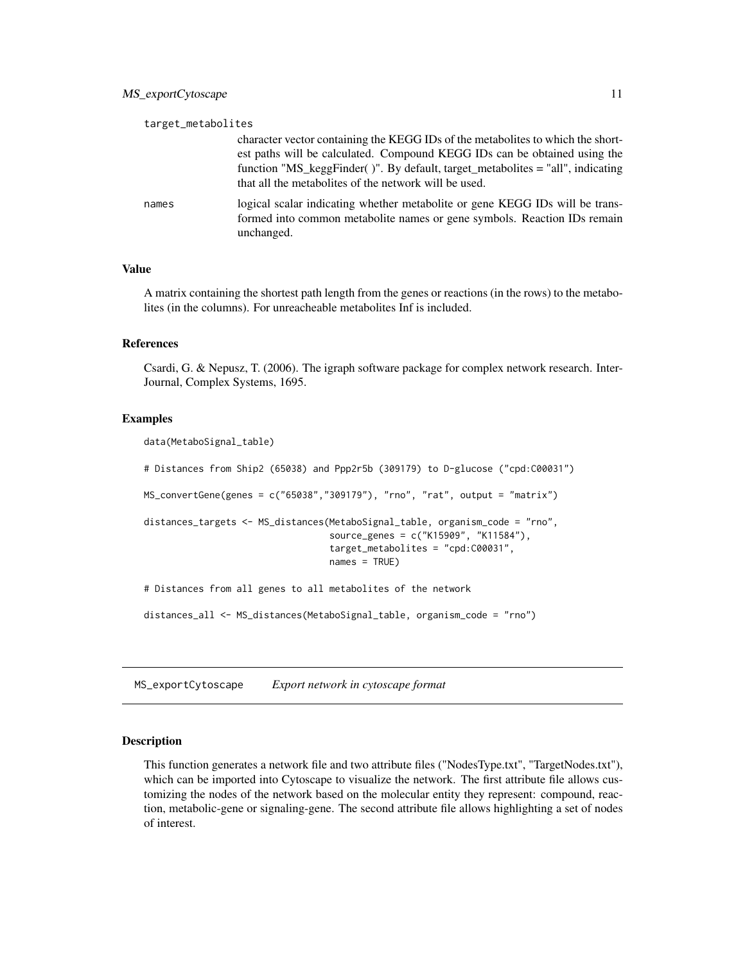<span id="page-10-0"></span>

| target_metabolites |                                                                                                                                                                                                                                                                                                          |
|--------------------|----------------------------------------------------------------------------------------------------------------------------------------------------------------------------------------------------------------------------------------------------------------------------------------------------------|
|                    | character vector containing the KEGG IDs of the metabolities to which the short-<br>est paths will be calculated. Compound KEGG IDs can be obtained using the<br>function "MS_keggFinder()". By default, target_metabolites = "all", indicating<br>that all the metabolites of the network will be used. |
| names              | logical scalar indicating whether metabolite or gene KEGG IDs will be trans-<br>formed into common metabolite names or gene symbols. Reaction IDs remain<br>unchanged.                                                                                                                                   |

# Value

A matrix containing the shortest path length from the genes or reactions (in the rows) to the metabolites (in the columns). For unreacheable metabolites Inf is included.

#### References

Csardi, G. & Nepusz, T. (2006). The igraph software package for complex network research. Inter-Journal, Complex Systems, 1695.

#### Examples

data(MetaboSignal\_table)

```
# Distances from Ship2 (65038) and Ppp2r5b (309179) to D-glucose ("cpd:C00031")
MS_convertGene(genes = c("65038","309179"), "rno", "rat", output = "matrix")
distances_targets <- MS_distances(MetaboSignal_table, organism_code = "rno",
                                  source_genes = c("K15909", "K11584"),
                                  target_metabolites = "cpd:C00031",
                                  names = TRUE)
# Distances from all genes to all metabolites of the network
distances_all <- MS_distances(MetaboSignal_table, organism_code = "rno")
```
MS\_exportCytoscape *Export network in cytoscape format*

#### Description

This function generates a network file and two attribute files ("NodesType.txt", "TargetNodes.txt"), which can be imported into Cytoscape to visualize the network. The first attribute file allows customizing the nodes of the network based on the molecular entity they represent: compound, reaction, metabolic-gene or signaling-gene. The second attribute file allows highlighting a set of nodes of interest.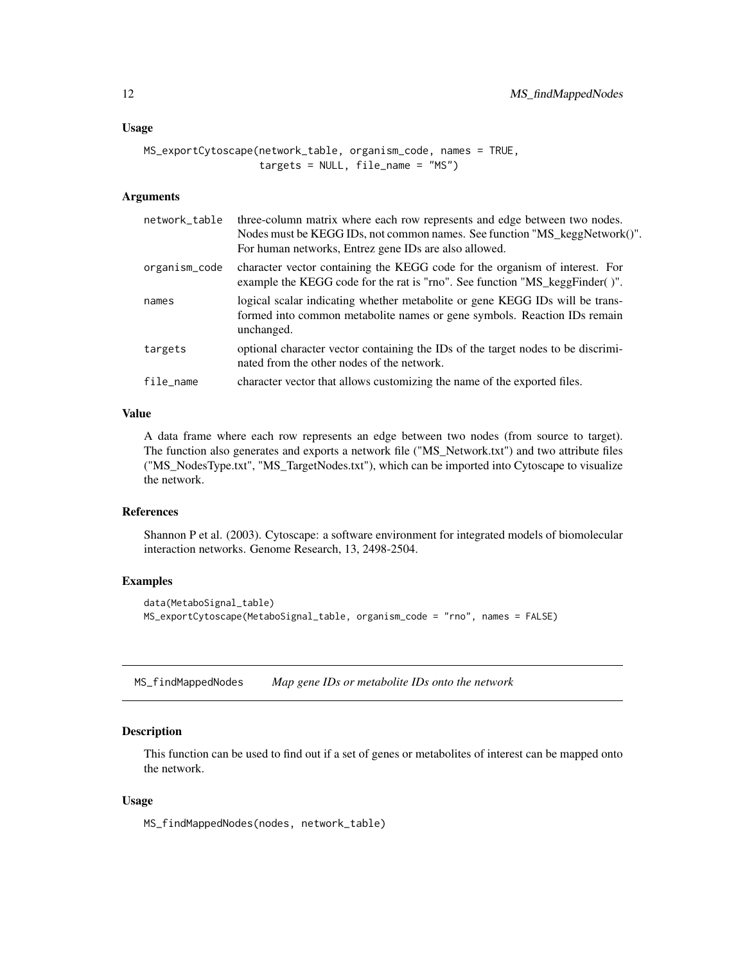#### <span id="page-11-0"></span>Usage

```
MS_exportCytoscape(network_table, organism_code, names = TRUE,
                   targets = NULL, file_name = "MS")
```
# Arguments

| network_table | three-column matrix where each row represents and edge between two nodes.<br>Nodes must be KEGG IDs, not common names. See function "MS_keggNetwork()".<br>For human networks, Entrez gene IDs are also allowed. |
|---------------|------------------------------------------------------------------------------------------------------------------------------------------------------------------------------------------------------------------|
| organism_code | character vector containing the KEGG code for the organism of interest. For<br>example the KEGG code for the rat is "rno". See function "MS_keggFinder()".                                                       |
| names         | logical scalar indicating whether metabolite or gene KEGG IDs will be trans-<br>formed into common metabolite names or gene symbols. Reaction IDs remain<br>unchanged.                                           |
| targets       | optional character vector containing the IDs of the target nodes to be discrimi-<br>nated from the other nodes of the network.                                                                                   |
| file_name     | character vector that allows customizing the name of the exported files.                                                                                                                                         |

#### Value

A data frame where each row represents an edge between two nodes (from source to target). The function also generates and exports a network file ("MS\_Network.txt") and two attribute files ("MS\_NodesType.txt", "MS\_TargetNodes.txt"), which can be imported into Cytoscape to visualize the network.

# References

Shannon P et al. (2003). Cytoscape: a software environment for integrated models of biomolecular interaction networks. Genome Research, 13, 2498-2504.

# Examples

```
data(MetaboSignal_table)
MS_exportCytoscape(MetaboSignal_table, organism_code = "rno", names = FALSE)
```
MS\_findMappedNodes *Map gene IDs or metabolite IDs onto the network*

#### Description

This function can be used to find out if a set of genes or metabolites of interest can be mapped onto the network.

#### Usage

MS\_findMappedNodes(nodes, network\_table)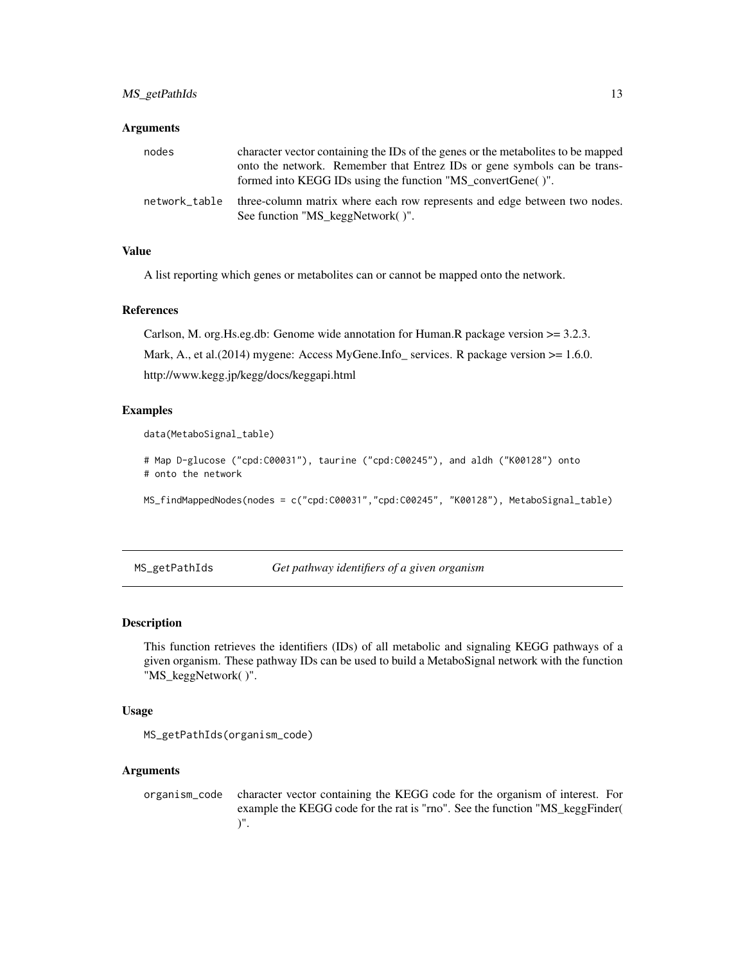#### <span id="page-12-0"></span>Arguments

| nodes         | character vector containing the IDs of the genes or the metabolities to be mapped                             |
|---------------|---------------------------------------------------------------------------------------------------------------|
|               | onto the network. Remember that Entrez IDs or gene symbols can be trans-                                      |
|               | formed into KEGG IDs using the function "MS convertGene()".                                                   |
| network table | three-column matrix where each row represents and edge between two nodes.<br>See function "MS keggNetwork()". |

# Value

A list reporting which genes or metabolites can or cannot be mapped onto the network.

#### References

Carlson, M. org.Hs.eg.db: Genome wide annotation for Human.R package version >= 3.2.3. Mark, A., et al.(2014) mygene: Access MyGene.Info\_ services. R package version >= 1.6.0. http://www.kegg.jp/kegg/docs/keggapi.html

#### Examples

```
data(MetaboSignal_table)
```

```
# Map D-glucose ("cpd:C00031"), taurine ("cpd:C00245"), and aldh ("K00128") onto
# onto the network
```

```
MS_findMappedNodes(nodes = c("cpd:C00031","cpd:C00245", "K00128"), MetaboSignal_table)
```

```
MS_getPathIds Get pathway identifiers of a given organism
```
# **Description**

This function retrieves the identifiers (IDs) of all metabolic and signaling KEGG pathways of a given organism. These pathway IDs can be used to build a MetaboSignal network with the function "MS\_keggNetwork( )".

#### Usage

```
MS_getPathIds(organism_code)
```
#### Arguments

organism\_code character vector containing the KEGG code for the organism of interest. For example the KEGG code for the rat is "rno". See the function "MS\_keggFinder( )".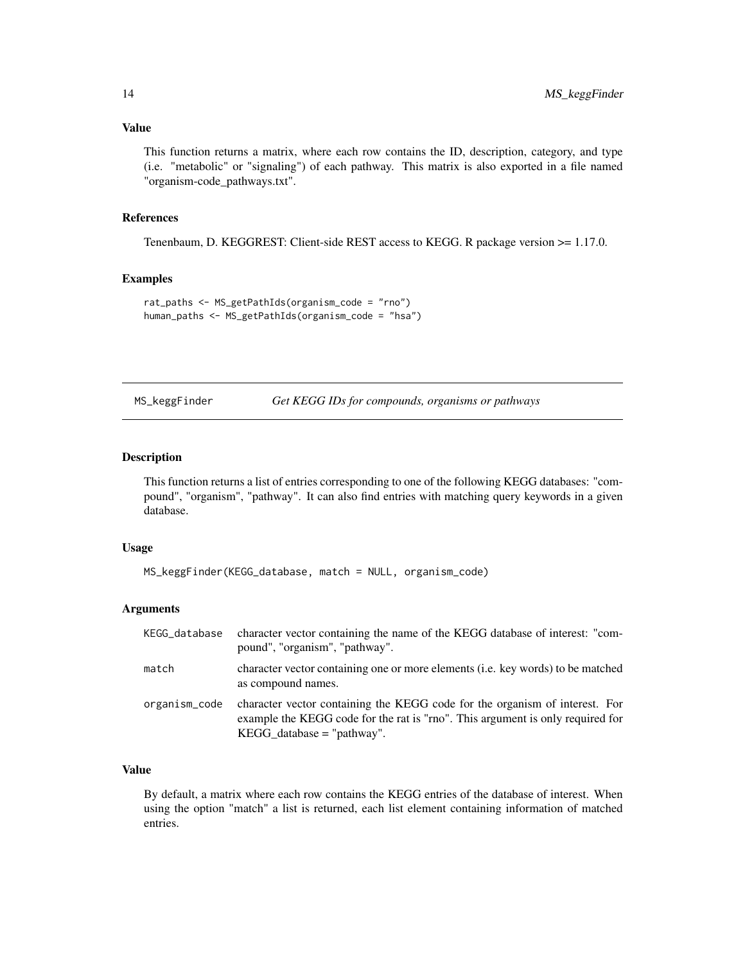# <span id="page-13-0"></span>Value

This function returns a matrix, where each row contains the ID, description, category, and type (i.e. "metabolic" or "signaling") of each pathway. This matrix is also exported in a file named "organism-code\_pathways.txt".

#### References

Tenenbaum, D. KEGGREST: Client-side REST access to KEGG. R package version >= 1.17.0.

#### Examples

```
rat_paths <- MS_getPathIds(organism_code = "rno")
human_paths <- MS_getPathIds(organism_code = "hsa")
```
MS\_keggFinder *Get KEGG IDs for compounds, organisms or pathways*

# Description

This function returns a list of entries corresponding to one of the following KEGG databases: "compound", "organism", "pathway". It can also find entries with matching query keywords in a given database.

#### Usage

```
MS_keggFinder(KEGG_database, match = NULL, organism_code)
```
#### Arguments

| KEGG_database | character vector containing the name of the KEGG database of interest: "com-<br>pound", "organism", "pathway".                                                                                 |
|---------------|------------------------------------------------------------------------------------------------------------------------------------------------------------------------------------------------|
| match         | character vector containing one or more elements (i.e. key words) to be matched<br>as compound names.                                                                                          |
| organism_code | character vector containing the KEGG code for the organism of interest. For<br>example the KEGG code for the rat is "rno". This argument is only required for<br>$KEGG\_database = "pathway".$ |

# Value

By default, a matrix where each row contains the KEGG entries of the database of interest. When using the option "match" a list is returned, each list element containing information of matched entries.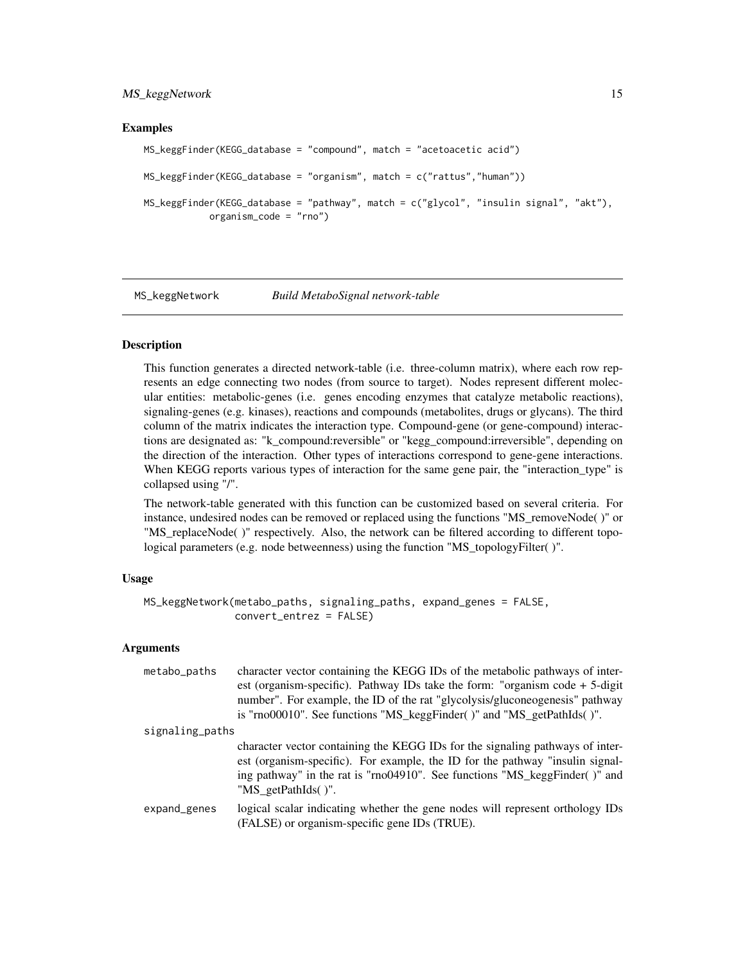# <span id="page-14-0"></span>MS\_keggNetwork 15

#### Examples

```
MS_keggFinder(KEGG_database = "compound", match = "acetoacetic acid")
MS_keggFinder(KEGG_database = "organism", match = c("rattus","human"))
MS_keggFinder(KEGG_database = "pathway", match = c("glycol", "insulin signal", "akt"),
           organism_code = "rno")
```
MS\_keggNetwork *Build MetaboSignal network-table*

# Description

This function generates a directed network-table (i.e. three-column matrix), where each row represents an edge connecting two nodes (from source to target). Nodes represent different molecular entities: metabolic-genes (i.e. genes encoding enzymes that catalyze metabolic reactions), signaling-genes (e.g. kinases), reactions and compounds (metabolites, drugs or glycans). The third column of the matrix indicates the interaction type. Compound-gene (or gene-compound) interactions are designated as: "k\_compound:reversible" or "kegg\_compound:irreversible", depending on the direction of the interaction. Other types of interactions correspond to gene-gene interactions. When KEGG reports various types of interaction for the same gene pair, the "interaction\_type" is collapsed using "/".

The network-table generated with this function can be customized based on several criteria. For instance, undesired nodes can be removed or replaced using the functions "MS\_removeNode( )" or "MS\_replaceNode( )" respectively. Also, the network can be filtered according to different topological parameters (e.g. node betweenness) using the function "MS\_topologyFilter( )".

#### Usage

```
MS_keggNetwork(metabo_paths, signaling_paths, expand_genes = FALSE,
               convert_entrez = FALSE)
```
#### Arguments

| metabo_paths    | character vector containing the KEGG IDs of the metabolic pathways of inter-<br>est (organism-specific). Pathway IDs take the form: "organism code $+$ 5-digit<br>number". For example, the ID of the rat "glycolysis/gluconeogenesis" pathway<br>is "rno00010". See functions "MS_keggFinder()" and "MS_getPathIds()". |
|-----------------|-------------------------------------------------------------------------------------------------------------------------------------------------------------------------------------------------------------------------------------------------------------------------------------------------------------------------|
| signaling_paths |                                                                                                                                                                                                                                                                                                                         |
|                 | character vector containing the KEGG IDs for the signaling pathways of inter-<br>est (organism-specific). For example, the ID for the pathway "insulin signal-<br>ing pathway" in the rat is "rno04910". See functions "MS_keggFinder()" and<br>"MS_getPathIds()".                                                      |
| expand_genes    | logical scalar indicating whether the gene nodes will represent orthology IDs<br>(FALSE) or organism-specific gene IDs (TRUE).                                                                                                                                                                                          |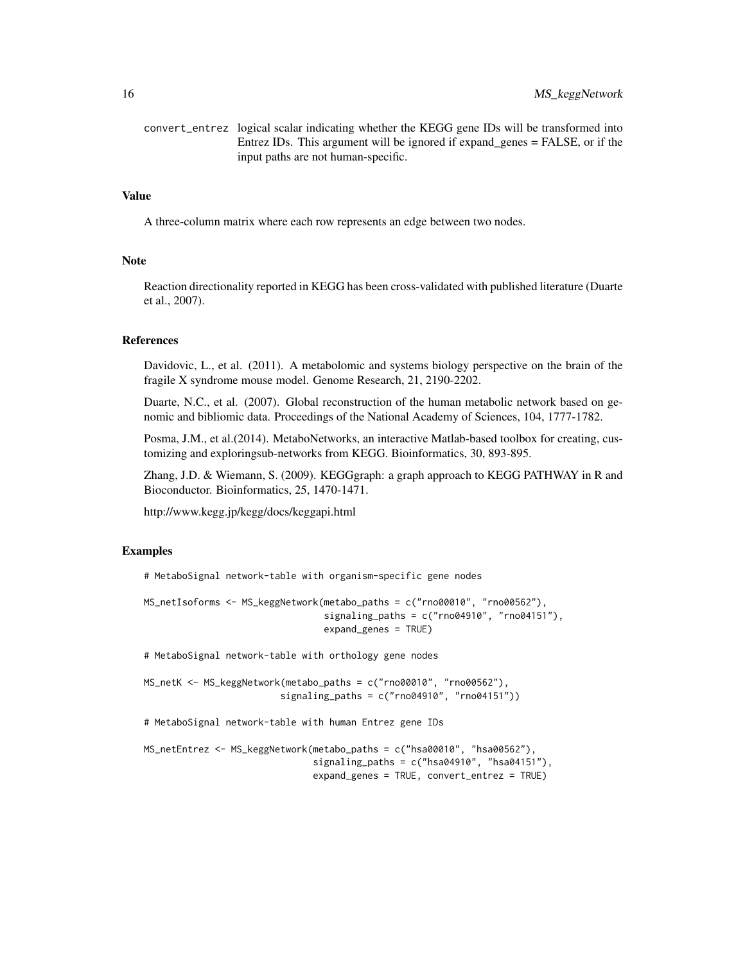convert\_entrez logical scalar indicating whether the KEGG gene IDs will be transformed into Entrez IDs. This argument will be ignored if expand\_genes = FALSE, or if the input paths are not human-specific.

#### Value

A three-column matrix where each row represents an edge between two nodes.

#### Note

Reaction directionality reported in KEGG has been cross-validated with published literature (Duarte et al., 2007).

# References

Davidovic, L., et al. (2011). A metabolomic and systems biology perspective on the brain of the fragile X syndrome mouse model. Genome Research, 21, 2190-2202.

Duarte, N.C., et al. (2007). Global reconstruction of the human metabolic network based on genomic and bibliomic data. Proceedings of the National Academy of Sciences, 104, 1777-1782.

Posma, J.M., et al. (2014). MetaboNetworks, an interactive Matlab-based toolbox for creating, customizing and exploringsub-networks from KEGG. Bioinformatics, 30, 893-895.

Zhang, J.D. & Wiemann, S. (2009). KEGGgraph: a graph approach to KEGG PATHWAY in R and Bioconductor. Bioinformatics, 25, 1470-1471.

http://www.kegg.jp/kegg/docs/keggapi.html

#### Examples

# MetaboSignal network-table with organism-specific gene nodes

```
MS_netIsoforms <- MS_keggNetwork(metabo_paths = c("rno00010", "rno00562"),
                                 signaling_paths = c("rno04910", "rno04151"),expand_genes = TRUE)
```
# MetaboSignal network-table with orthology gene nodes

MS\_netK <- MS\_keggNetwork(metabo\_paths = c("rno00010", "rno00562"), signaling\_paths = c("rno04910", "rno04151"))

# MetaboSignal network-table with human Entrez gene IDs

```
MS_netEntrez <- MS_keggNetwork(metabo_paths = c("hsa00010", "hsa00562"),
                               signaling_paths = c("hsa04910", "hsa04151"),expand_genes = TRUE, convert_entrez = TRUE)
```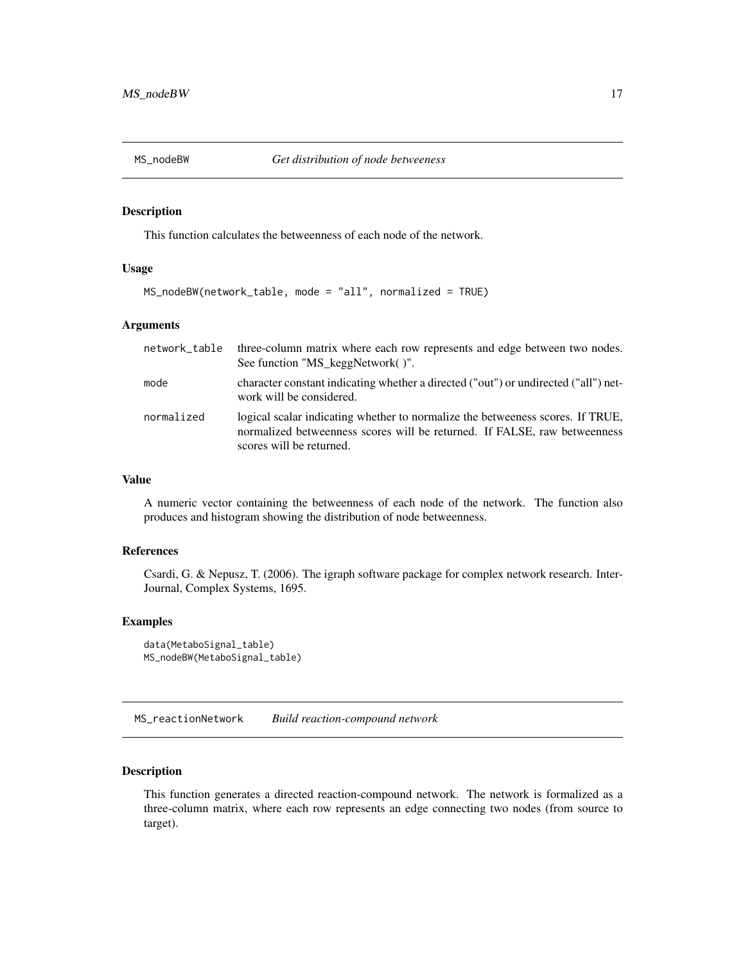<span id="page-16-0"></span>

#### Description

This function calculates the betweenness of each node of the network.

# Usage

MS\_nodeBW(network\_table, mode = "all", normalized = TRUE)

#### Arguments

| network_table | three-column matrix where each row represents and edge between two nodes.<br>See function "MS_keggNetwork()".                                                                           |
|---------------|-----------------------------------------------------------------------------------------------------------------------------------------------------------------------------------------|
| mode          | character constant indicating whether a directed ("out") or undirected ("all") net-<br>work will be considered.                                                                         |
| normalized    | logical scalar indicating whether to normalize the betweeness scores. If TRUE,<br>normalized betweenness scores will be returned. If FALSE, raw betweenness<br>scores will be returned. |

# Value

A numeric vector containing the betweenness of each node of the network. The function also produces and histogram showing the distribution of node betweenness.

# References

Csardi, G. & Nepusz, T. (2006). The igraph software package for complex network research. Inter-Journal, Complex Systems, 1695.

# Examples

```
data(MetaboSignal_table)
MS_nodeBW(MetaboSignal_table)
```
MS\_reactionNetwork *Build reaction-compound network*

# Description

This function generates a directed reaction-compound network. The network is formalized as a three-column matrix, where each row represents an edge connecting two nodes (from source to target).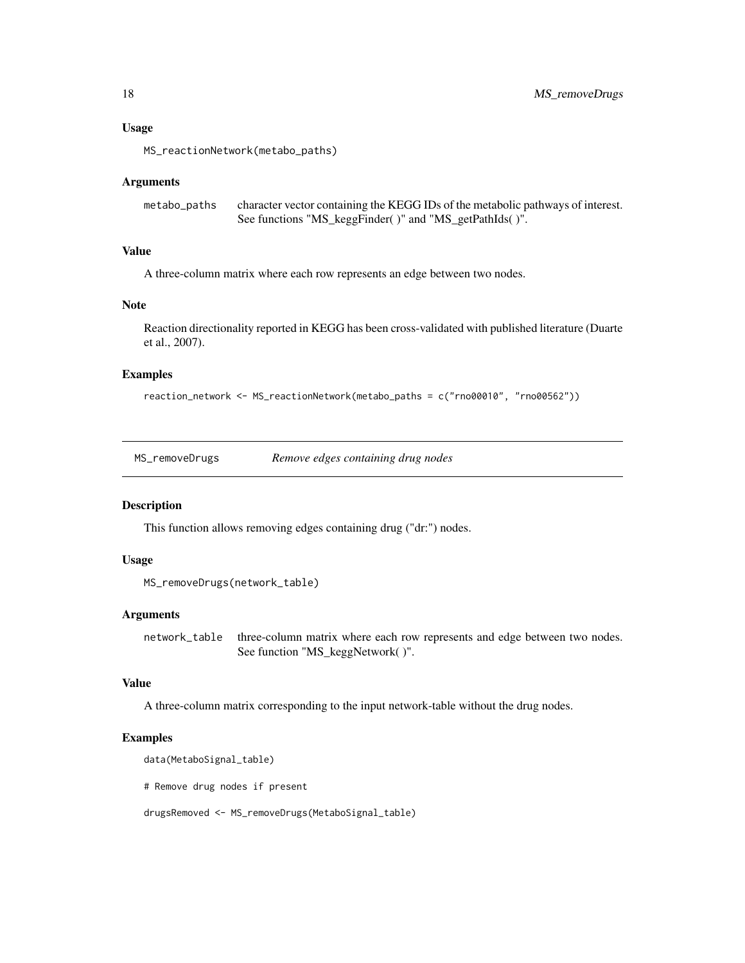#### <span id="page-17-0"></span>Usage

MS\_reactionNetwork(metabo\_paths)

#### Arguments

metabo\_paths character vector containing the KEGG IDs of the metabolic pathways of interest. See functions "MS\_keggFinder( )" and "MS\_getPathIds( )".

# Value

A three-column matrix where each row represents an edge between two nodes.

#### Note

Reaction directionality reported in KEGG has been cross-validated with published literature (Duarte et al., 2007).

# Examples

reaction\_network <- MS\_reactionNetwork(metabo\_paths = c("rno00010", "rno00562"))

MS\_removeDrugs *Remove edges containing drug nodes*

#### Description

This function allows removing edges containing drug ("dr:") nodes.

# Usage

```
MS_removeDrugs(network_table)
```
# Arguments

network\_table three-column matrix where each row represents and edge between two nodes. See function "MS\_keggNetwork( )".

#### Value

A three-column matrix corresponding to the input network-table without the drug nodes.

#### Examples

data(MetaboSignal\_table)

# Remove drug nodes if present

drugsRemoved <- MS\_removeDrugs(MetaboSignal\_table)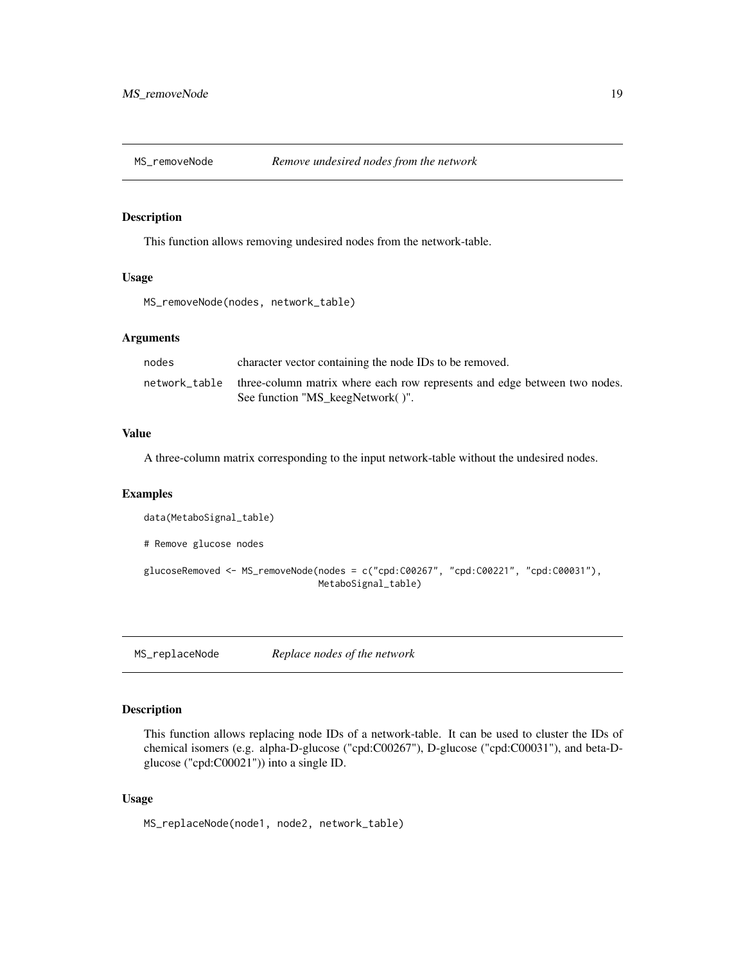<span id="page-18-0"></span>

#### Description

This function allows removing undesired nodes from the network-table.

#### Usage

MS\_removeNode(nodes, network\_table)

#### Arguments

| nodes | character vector containing the node IDs to be removed.                                 |
|-------|-----------------------------------------------------------------------------------------|
|       | network_table three-column matrix where each row represents and edge between two nodes. |
|       | See function "MS_keegNetwork()".                                                        |

# Value

A three-column matrix corresponding to the input network-table without the undesired nodes.

#### Examples

data(MetaboSignal\_table) # Remove glucose nodes glucoseRemoved <- MS\_removeNode(nodes = c("cpd:C00267", "cpd:C00221", "cpd:C00031"), MetaboSignal\_table)

MS\_replaceNode *Replace nodes of the network*

# Description

This function allows replacing node IDs of a network-table. It can be used to cluster the IDs of chemical isomers (e.g. alpha-D-glucose ("cpd:C00267"), D-glucose ("cpd:C00031"), and beta-Dglucose ("cpd:C00021")) into a single ID.

#### Usage

MS\_replaceNode(node1, node2, network\_table)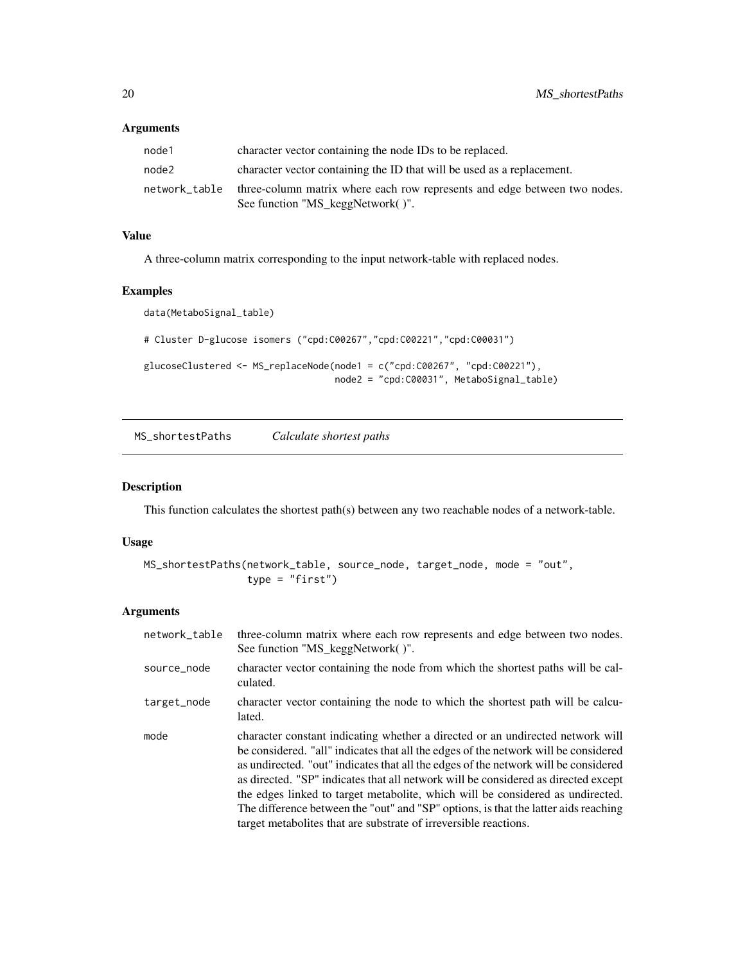# <span id="page-19-0"></span>Arguments

| node1 | character vector containing the node IDs to be replaced.                                |
|-------|-----------------------------------------------------------------------------------------|
| node2 | character vector containing the ID that will be used as a replacement.                  |
|       | network_table three-column matrix where each row represents and edge between two nodes. |
|       | See function "MS_keggNetwork()".                                                        |

# Value

A three-column matrix corresponding to the input network-table with replaced nodes.

# Examples

```
data(MetaboSignal_table)
# Cluster D-glucose isomers ("cpd:C00267","cpd:C00221","cpd:C00031")
glucoseClustered <- MS_replaceNode(node1 = c("cpd:C00267", "cpd:C00221"),
                                   node2 = "cpd:C00031", MetaboSignal_table)
```
MS\_shortestPaths *Calculate shortest paths*

#### Description

This function calculates the shortest path(s) between any two reachable nodes of a network-table.

# Usage

```
MS_shortestPaths(network_table, source_node, target_node, mode = "out",
                type = "first")
```
# Arguments

| network_table | three-column matrix where each row represents and edge between two nodes.<br>See function "MS_keggNetwork()".                                                                                                                                                                                                                                                                                                                                                                                                                                                                                    |
|---------------|--------------------------------------------------------------------------------------------------------------------------------------------------------------------------------------------------------------------------------------------------------------------------------------------------------------------------------------------------------------------------------------------------------------------------------------------------------------------------------------------------------------------------------------------------------------------------------------------------|
| source_node   | character vector containing the node from which the shortest paths will be cal-<br>culated.                                                                                                                                                                                                                                                                                                                                                                                                                                                                                                      |
| target_node   | character vector containing the node to which the shortest path will be calcu-<br>lated.                                                                                                                                                                                                                                                                                                                                                                                                                                                                                                         |
| mode          | character constant indicating whether a directed or an undirected network will<br>be considered. "all" indicates that all the edges of the network will be considered<br>as undirected. "out" indicates that all the edges of the network will be considered<br>as directed. "SP" indicates that all network will be considered as directed except<br>the edges linked to target metabolite, which will be considered as undirected.<br>The difference between the "out" and "SP" options, is that the latter aids reaching<br>target metabolities that are substrate of irreversible reactions. |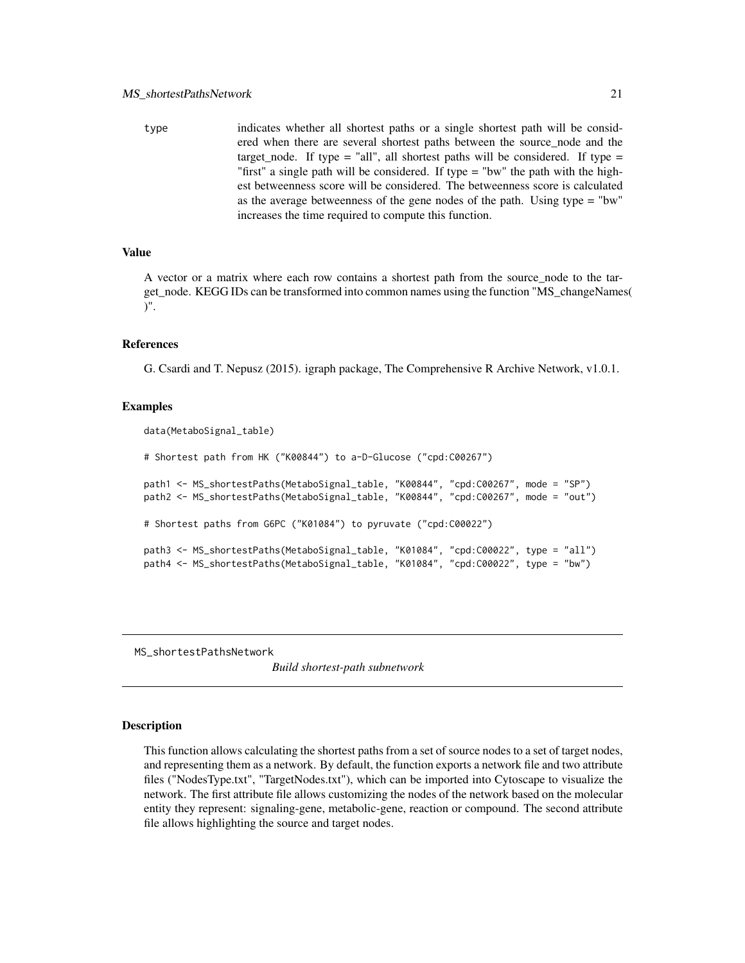<span id="page-20-0"></span>type indicates whether all shortest paths or a single shortest path will be considered when there are several shortest paths between the source node and the target node. If type = "all", all shortest paths will be considered. If type = "first" a single path will be considered. If type = "bw" the path with the highest betweenness score will be considered. The betweenness score is calculated as the average betweenness of the gene nodes of the path. Using type = "bw" increases the time required to compute this function.

#### Value

A vector or a matrix where each row contains a shortest path from the source\_node to the target\_node. KEGG IDs can be transformed into common names using the function "MS\_changeNames( )".

#### References

G. Csardi and T. Nepusz (2015). igraph package, The Comprehensive R Archive Network, v1.0.1.

#### Examples

```
data(MetaboSignal_table)
# Shortest path from HK ("K00844") to a-D-Glucose ("cpd:C00267")
path1 <- MS_shortestPaths(MetaboSignal_table, "K00844", "cpd:C00267", mode = "SP")
path2 <- MS_shortestPaths(MetaboSignal_table, "K00844", "cpd:C00267", mode = "out")
# Shortest paths from G6PC ("K01084") to pyruvate ("cpd:C00022")
path3 <- MS_shortestPaths(MetaboSignal_table, "K01084", "cpd:C00022", type = "all")
path4 <- MS_shortestPaths(MetaboSignal_table, "K01084", "cpd:C00022", type = "bw")
```
MS\_shortestPathsNetwork

*Build shortest-path subnetwork*

#### Description

This function allows calculating the shortest paths from a set of source nodes to a set of target nodes, and representing them as a network. By default, the function exports a network file and two attribute files ("NodesType.txt", "TargetNodes.txt"), which can be imported into Cytoscape to visualize the network. The first attribute file allows customizing the nodes of the network based on the molecular entity they represent: signaling-gene, metabolic-gene, reaction or compound. The second attribute file allows highlighting the source and target nodes.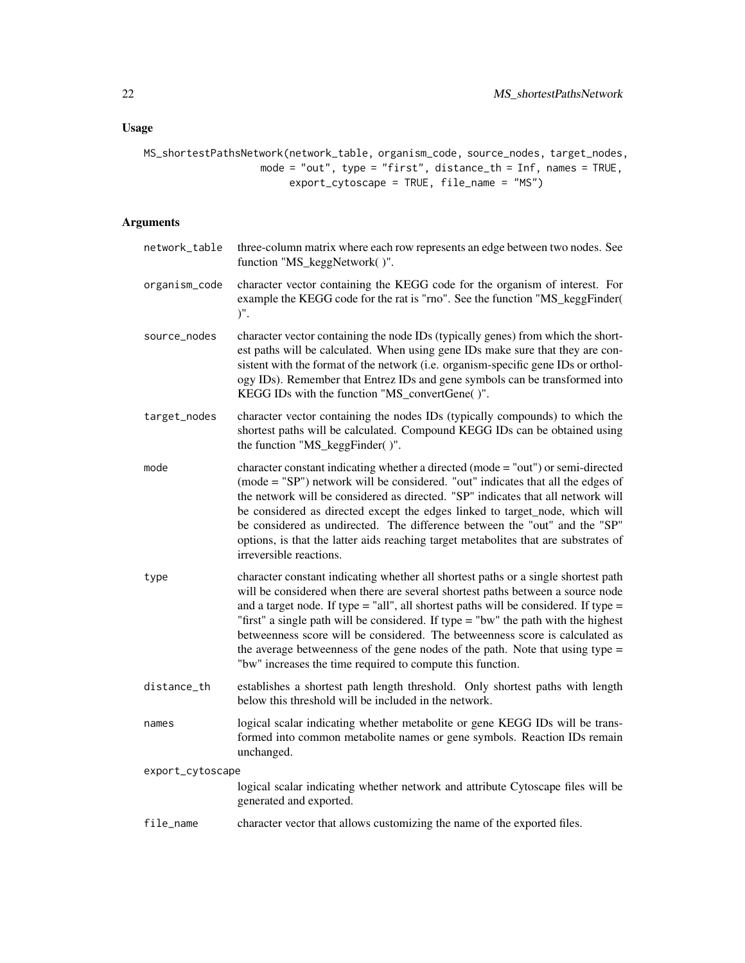# Usage

```
MS_shortestPathsNetwork(network_table, organism_code, source_nodes, target_nodes,
                   mode = "out", type = "first", distance_th = Inf, names = TRUE,
                        export_cytoscape = TRUE, file_name = "MS")
```
# Arguments

| network_table    | three-column matrix where each row represents an edge between two nodes. See<br>function "MS_keggNetwork()".                                                                                                                                                                                                                                                                                                                                                                                                                                                                        |  |
|------------------|-------------------------------------------------------------------------------------------------------------------------------------------------------------------------------------------------------------------------------------------------------------------------------------------------------------------------------------------------------------------------------------------------------------------------------------------------------------------------------------------------------------------------------------------------------------------------------------|--|
| organism_code    | character vector containing the KEGG code for the organism of interest. For<br>example the KEGG code for the rat is "rno". See the function "MS_keggFinder(<br>$)$ ".                                                                                                                                                                                                                                                                                                                                                                                                               |  |
| source_nodes     | character vector containing the node IDs (typically genes) from which the short-<br>est paths will be calculated. When using gene IDs make sure that they are con-<br>sistent with the format of the network (i.e. organism-specific gene IDs or orthol-<br>ogy IDs). Remember that Entrez IDs and gene symbols can be transformed into<br>KEGG IDs with the function "MS_convertGene()".                                                                                                                                                                                           |  |
| target_nodes     | character vector containing the nodes IDs (typically compounds) to which the<br>shortest paths will be calculated. Compound KEGG IDs can be obtained using<br>the function "MS_keggFinder()".                                                                                                                                                                                                                                                                                                                                                                                       |  |
| mode             | character constant indicating whether a directed (mode = "out") or semi-directed<br>(mode = "SP") network will be considered. "out" indicates that all the edges of<br>the network will be considered as directed. "SP" indicates that all network will<br>be considered as directed except the edges linked to target_node, which will<br>be considered as undirected. The difference between the "out" and the "SP"<br>options, is that the latter aids reaching target metabolites that are substrates of<br>irreversible reactions.                                             |  |
| type             | character constant indicating whether all shortest paths or a single shortest path<br>will be considered when there are several shortest paths between a source node<br>and a target node. If type = "all", all shortest paths will be considered. If type =<br>"first" a single path will be considered. If type = "bw" the path with the highest<br>betweenness score will be considered. The betweenness score is calculated as<br>the average betweenness of the gene nodes of the path. Note that using type $=$<br>"bw" increases the time required to compute this function. |  |
| distance_th      | establishes a shortest path length threshold. Only shortest paths with length<br>below this threshold will be included in the network.                                                                                                                                                                                                                                                                                                                                                                                                                                              |  |
| names            | logical scalar indicating whether metabolite or gene KEGG IDs will be trans-<br>formed into common metabolite names or gene symbols. Reaction IDs remain<br>unchanged.                                                                                                                                                                                                                                                                                                                                                                                                              |  |
| export_cytoscape |                                                                                                                                                                                                                                                                                                                                                                                                                                                                                                                                                                                     |  |
|                  | logical scalar indicating whether network and attribute Cytoscape files will be<br>generated and exported.                                                                                                                                                                                                                                                                                                                                                                                                                                                                          |  |
| $file_name$      | character vector that allows customizing the name of the exported files.                                                                                                                                                                                                                                                                                                                                                                                                                                                                                                            |  |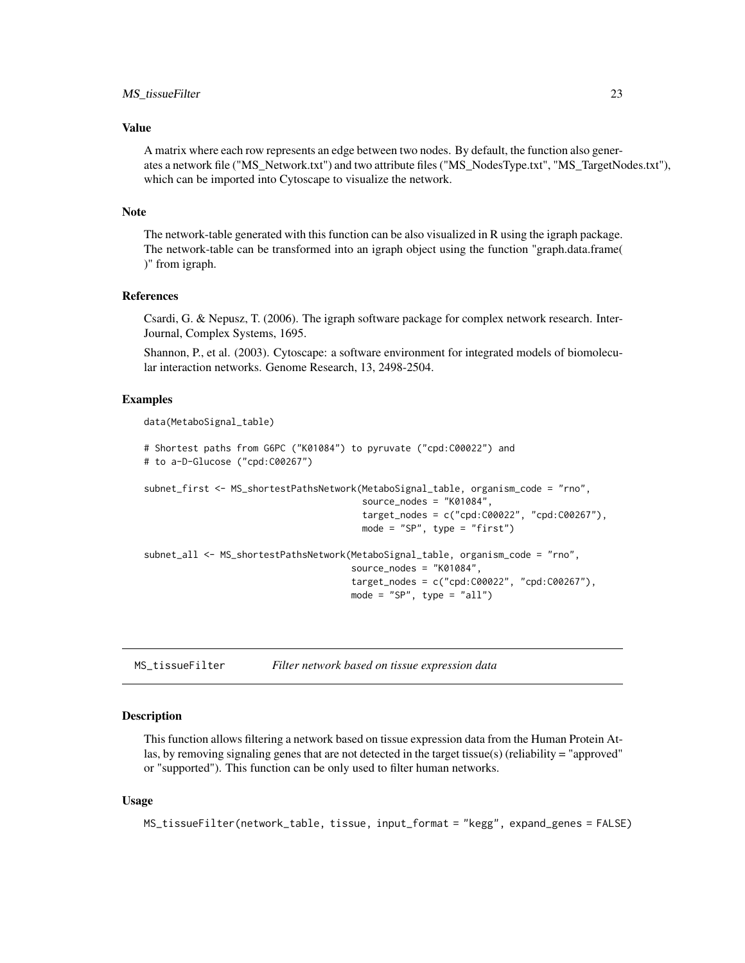# <span id="page-22-0"></span>Value

A matrix where each row represents an edge between two nodes. By default, the function also generates a network file ("MS\_Network.txt") and two attribute files ("MS\_NodesType.txt", "MS\_TargetNodes.txt"), which can be imported into Cytoscape to visualize the network.

#### Note

The network-table generated with this function can be also visualized in R using the igraph package. The network-table can be transformed into an igraph object using the function "graph.data.frame( )" from igraph.

# References

Csardi, G. & Nepusz, T. (2006). The igraph software package for complex network research. Inter-Journal, Complex Systems, 1695.

Shannon, P., et al. (2003). Cytoscape: a software environment for integrated models of biomolecular interaction networks. Genome Research, 13, 2498-2504.

### Examples

data(MetaboSignal\_table)

```
# Shortest paths from G6PC ("K01084") to pyruvate ("cpd:C00022") and
# to a-D-Glucose ("cpd:C00267")
subnet_first <- MS_shortestPathsNetwork(MetaboSignal_table, organism_code = "rno",
                                        source_nodes = "K01084",
                                        target_nodes = c("cpd:C00022", "cpd:C00267"),
                                        mode = "SP'', type = "first")
subnet_all <- MS_shortestPathsNetwork(MetaboSignal_table, organism_code = "rno",
                                      source_nodes = "K01084",
                                      target_nodes = c("cpd:C00022", "cpd:C00267"),
                                      mode = "SP'', type = "all'')
```
MS\_tissueFilter *Filter network based on tissue expression data*

## Description

This function allows filtering a network based on tissue expression data from the Human Protein Atlas, by removing signaling genes that are not detected in the target tissue(s) (reliability = "approved" or "supported"). This function can be only used to filter human networks.

#### Usage

MS\_tissueFilter(network\_table, tissue, input\_format = "kegg", expand\_genes = FALSE)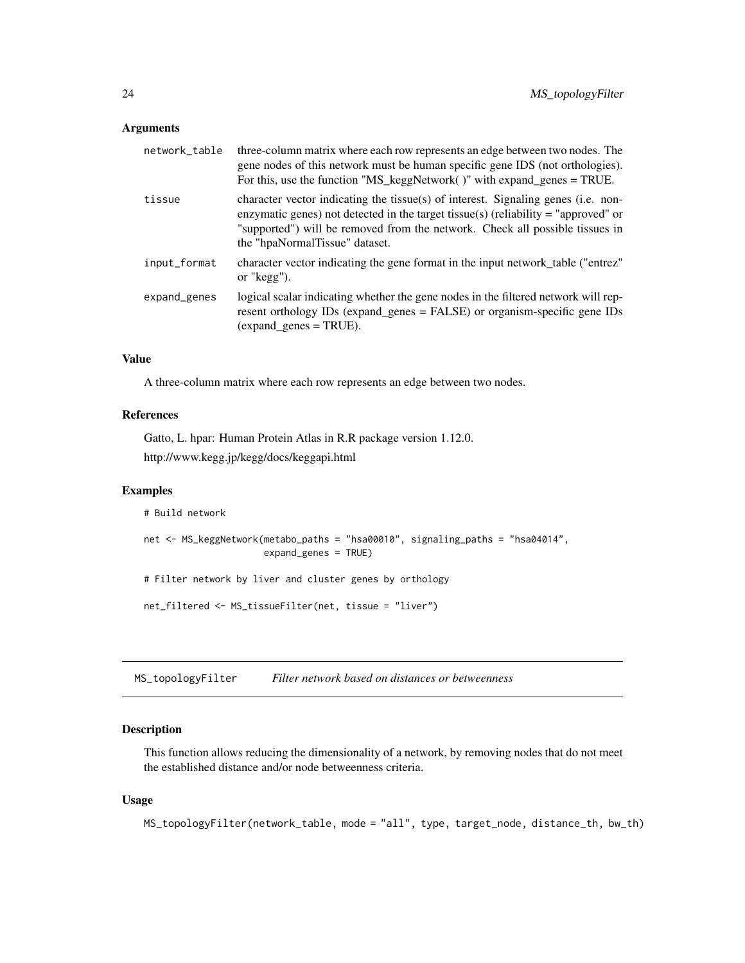#### <span id="page-23-0"></span>Arguments

| network_table | three-column matrix where each row represents an edge between two nodes. The<br>gene nodes of this network must be human specific gene IDS (not orthologies).<br>For this, use the function "MS_keggNetwork( $\prime$ )" with expand_genes = TRUE.                                        |
|---------------|-------------------------------------------------------------------------------------------------------------------------------------------------------------------------------------------------------------------------------------------------------------------------------------------|
| tissue        | character vector indicating the tissue(s) of interest. Signaling genes (i.e. non-<br>enzymatic genes) not detected in the target tissue(s) (reliability = "approved" or<br>"supported") will be removed from the network. Check all possible tissues in<br>the "hpaNormalTissue" dataset. |
| input_format  | character vector indicating the gene format in the input network_table ("entrez"<br>or " $key$ ").                                                                                                                                                                                        |
| expand_genes  | logical scalar indicating whether the gene nodes in the filtered network will rep-<br>resent orthology IDs (expand_genes = FALSE) or organism-specific gene IDs<br>$(expand\_genes = TRUE).$                                                                                              |
|               |                                                                                                                                                                                                                                                                                           |

#### Value

A three-column matrix where each row represents an edge between two nodes.

# References

Gatto, L. hpar: Human Protein Atlas in R.R package version 1.12.0. http://www.kegg.jp/kegg/docs/keggapi.html

#### Examples

```
# Build network
net <- MS_keggNetwork(metabo_paths = "hsa00010", signaling_paths = "hsa04014",
                     expand_genes = TRUE)
# Filter network by liver and cluster genes by orthology
net_filtered <- MS_tissueFilter(net, tissue = "liver")
```
MS\_topologyFilter *Filter network based on distances or betweenness*

# Description

This function allows reducing the dimensionality of a network, by removing nodes that do not meet the established distance and/or node betweenness criteria.

# Usage

MS\_topologyFilter(network\_table, mode = "all", type, target\_node, distance\_th, bw\_th)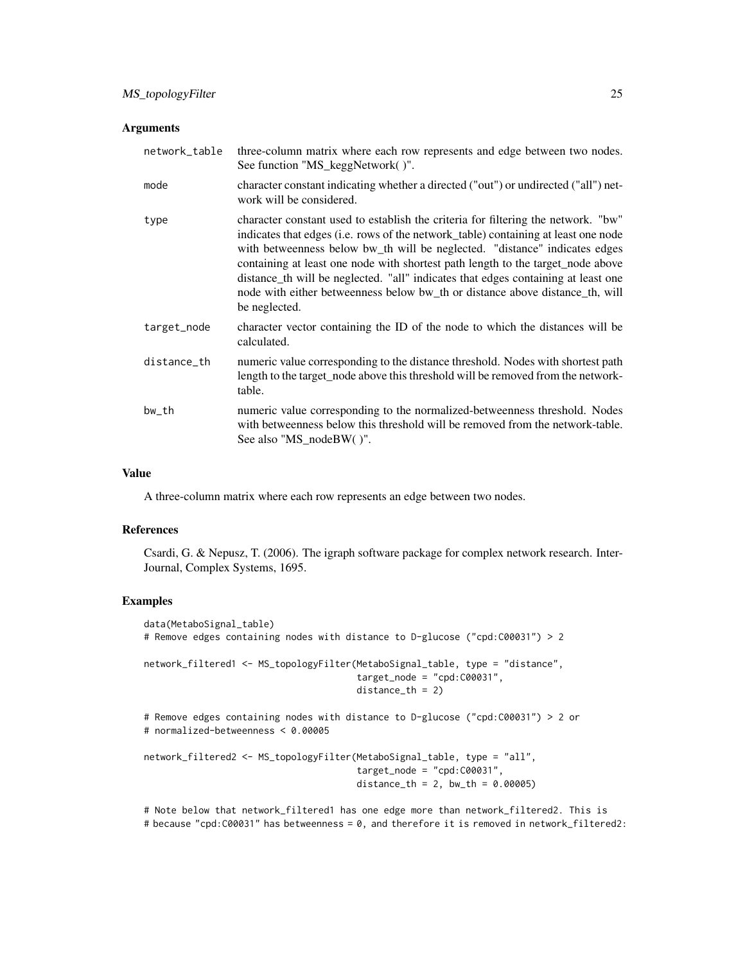# Arguments

| network_table | three-column matrix where each row represents and edge between two nodes.<br>See function "MS_keggNetwork()".                                                                                                                                                                                                                                                                                                                                                                                                                  |
|---------------|--------------------------------------------------------------------------------------------------------------------------------------------------------------------------------------------------------------------------------------------------------------------------------------------------------------------------------------------------------------------------------------------------------------------------------------------------------------------------------------------------------------------------------|
| mode          | character constant indicating whether a directed ("out") or undirected ("all") net-<br>work will be considered.                                                                                                                                                                                                                                                                                                                                                                                                                |
| type          | character constant used to establish the criteria for filtering the network. "bw"<br>indicates that edges (i.e. rows of the network_table) containing at least one node<br>with betweenness below bw_th will be neglected. "distance" indicates edges<br>containing at least one node with shortest path length to the target_node above<br>distance_th will be neglected. "all" indicates that edges containing at least one<br>node with either betweenness below bw_th or distance above distance_th, will<br>be neglected. |
| target_node   | character vector containing the ID of the node to which the distances will be<br>calculated.                                                                                                                                                                                                                                                                                                                                                                                                                                   |
| distance_th   | numeric value corresponding to the distance threshold. Nodes with shortest path<br>length to the target_node above this threshold will be removed from the network-<br>table.                                                                                                                                                                                                                                                                                                                                                  |
| bw_th         | numeric value corresponding to the normalized-betweenness threshold. Nodes<br>with betweenness below this threshold will be removed from the network-table.<br>See also "MS_nodeBW()".                                                                                                                                                                                                                                                                                                                                         |

# Value

A three-column matrix where each row represents an edge between two nodes.

#### References

Csardi, G. & Nepusz, T. (2006). The igraph software package for complex network research. Inter-Journal, Complex Systems, 1695.

# Examples

```
data(MetaboSignal_table)
# Remove edges containing nodes with distance to D-glucose ("cpd:C00031") > 2
network_filtered1 <- MS_topologyFilter(MetaboSignal_table, type = "distance",
                                       target_model = "cpd:C00031",distance_th = 2# Remove edges containing nodes with distance to D-glucose ("cpd:C00031") > 2 or
# normalized-betweenness < 0.00005
network_filtered2 <- MS_topologyFilter(MetaboSignal_table, type = "all",
                                       target_node = "cpd:C00031",
                                       distance_th = 2, bw_th = 0.00005)
```
# Note below that network\_filtered1 has one edge more than network\_filtered2. This is # because "cpd:C00031" has betweenness = 0, and therefore it is removed in network\_filtered2: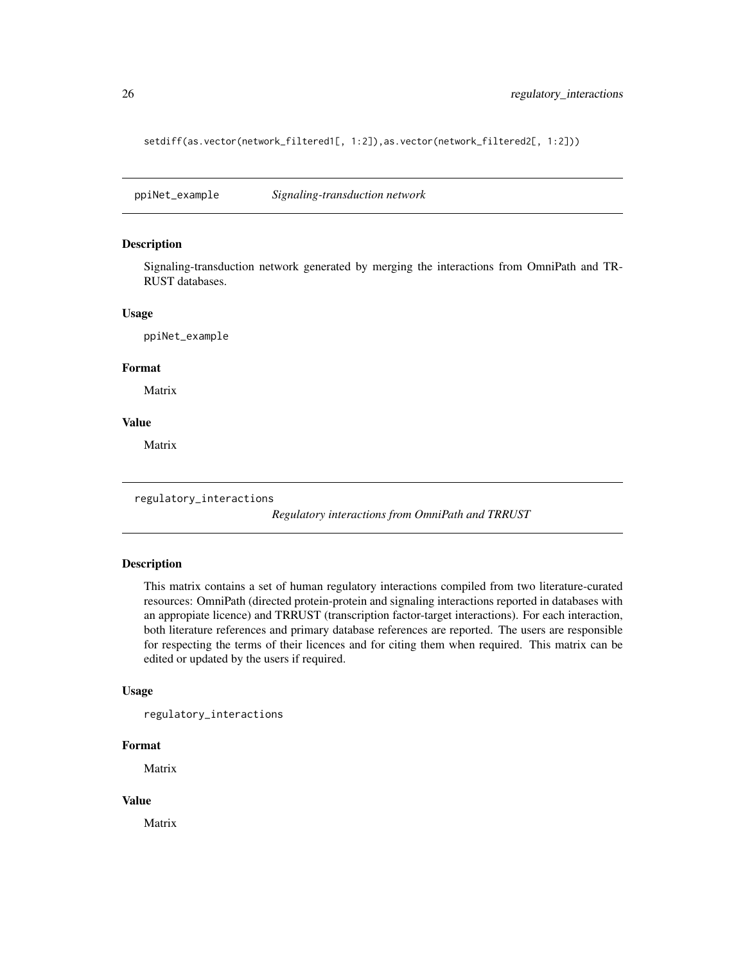<span id="page-25-0"></span>setdiff(as.vector(network\_filtered1[, 1:2]),as.vector(network\_filtered2[, 1:2]))

ppiNet\_example *Signaling-transduction network*

#### Description

Signaling-transduction network generated by merging the interactions from OmniPath and TR-RUST databases.

#### Usage

ppiNet\_example

# Format

Matrix

# Value

Matrix

regulatory\_interactions

*Regulatory interactions from OmniPath and TRRUST*

#### Description

This matrix contains a set of human regulatory interactions compiled from two literature-curated resources: OmniPath (directed protein-protein and signaling interactions reported in databases with an appropiate licence) and TRRUST (transcription factor-target interactions). For each interaction, both literature references and primary database references are reported. The users are responsible for respecting the terms of their licences and for citing them when required. This matrix can be edited or updated by the users if required.

#### Usage

regulatory\_interactions

# Format

Matrix

# Value

Matrix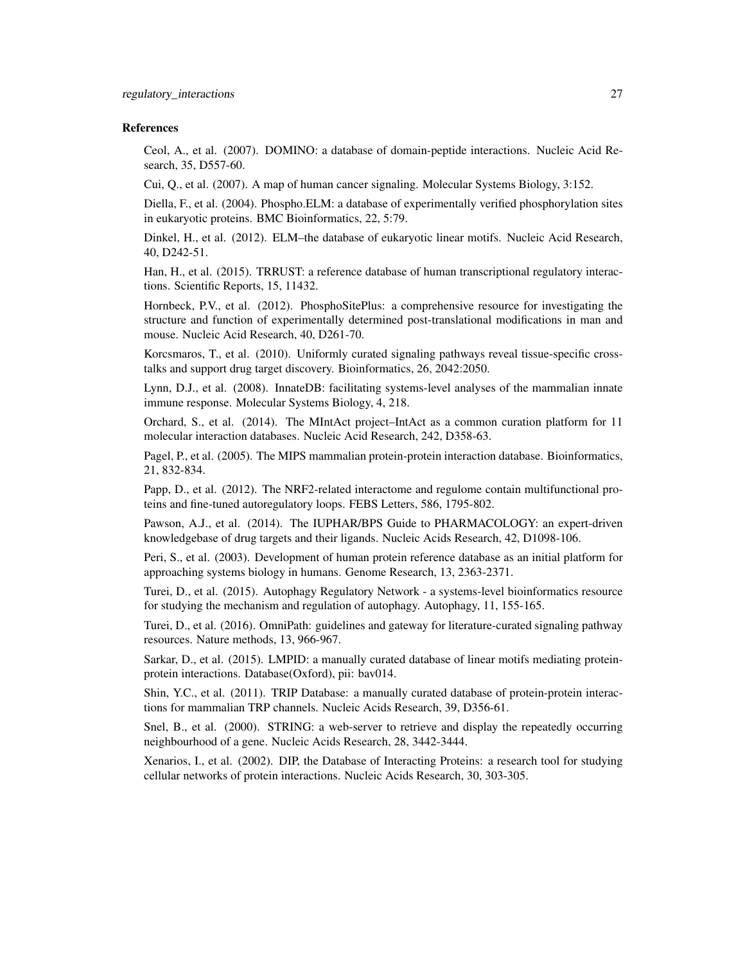#### References

Ceol, A., et al. (2007). DOMINO: a database of domain-peptide interactions. Nucleic Acid Research, 35, D557-60.

Cui, Q., et al. (2007). A map of human cancer signaling. Molecular Systems Biology, 3:152.

Diella, F., et al. (2004). Phospho.ELM: a database of experimentally verified phosphorylation sites in eukaryotic proteins. BMC Bioinformatics, 22, 5:79.

Dinkel, H., et al. (2012). ELM–the database of eukaryotic linear motifs. Nucleic Acid Research, 40, D242-51.

Han, H., et al. (2015). TRRUST: a reference database of human transcriptional regulatory interactions. Scientific Reports, 15, 11432.

Hornbeck, P.V., et al. (2012). PhosphoSitePlus: a comprehensive resource for investigating the structure and function of experimentally determined post-translational modifications in man and mouse. Nucleic Acid Research, 40, D261-70.

Korcsmaros, T., et al. (2010). Uniformly curated signaling pathways reveal tissue-specific crosstalks and support drug target discovery. Bioinformatics, 26, 2042:2050.

Lynn, D.J., et al. (2008). InnateDB: facilitating systems-level analyses of the mammalian innate immune response. Molecular Systems Biology, 4, 218.

Orchard, S., et al. (2014). The MIntAct project–IntAct as a common curation platform for 11 molecular interaction databases. Nucleic Acid Research, 242, D358-63.

Pagel, P., et al. (2005). The MIPS mammalian protein-protein interaction database. Bioinformatics, 21, 832-834.

Papp, D., et al. (2012). The NRF2-related interactome and regulome contain multifunctional proteins and fine-tuned autoregulatory loops. FEBS Letters, 586, 1795-802.

Pawson, A.J., et al. (2014). The IUPHAR/BPS Guide to PHARMACOLOGY: an expert-driven knowledgebase of drug targets and their ligands. Nucleic Acids Research, 42, D1098-106.

Peri, S., et al. (2003). Development of human protein reference database as an initial platform for approaching systems biology in humans. Genome Research, 13, 2363-2371.

Turei, D., et al. (2015). Autophagy Regulatory Network - a systems-level bioinformatics resource for studying the mechanism and regulation of autophagy. Autophagy, 11, 155-165.

Turei, D., et al. (2016). OmniPath: guidelines and gateway for literature-curated signaling pathway resources. Nature methods, 13, 966-967.

Sarkar, D., et al. (2015). LMPID: a manually curated database of linear motifs mediating proteinprotein interactions. Database(Oxford), pii: bav014.

Shin, Y.C., et al. (2011). TRIP Database: a manually curated database of protein-protein interactions for mammalian TRP channels. Nucleic Acids Research, 39, D356-61.

Snel, B., et al. (2000). STRING: a web-server to retrieve and display the repeatedly occurring neighbourhood of a gene. Nucleic Acids Research, 28, 3442-3444.

Xenarios, I., et al. (2002). DIP, the Database of Interacting Proteins: a research tool for studying cellular networks of protein interactions. Nucleic Acids Research, 30, 303-305.